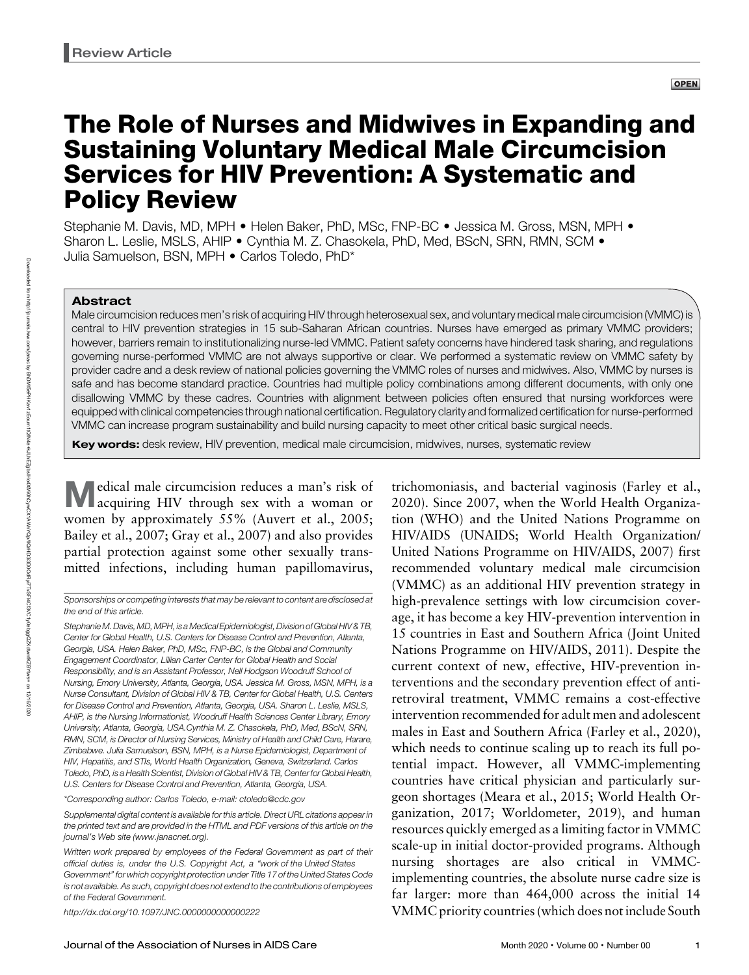# The Role of Nurses and Midwives in Expanding and Sustaining Voluntary Medical Male Circumcision Services for HIV Prevention: A Systematic and Policy Review

Stephanie M. Davis, MD, MPH • Helen Baker, PhD, MSc, FNP-BC • Jessica M. Gross, MSN, MPH • Sharon L. Leslie, MSLS, AHIP · Cynthia M. Z. Chasokela, PhD, Med, BScN, SRN, RMN, SCM · Julia Samuelson, BSN, MPH • Carlos Toledo, PhD\*

#### Abstract

Downloaded from

http://journals.lww.com/janac

হ

Male circumcision reduces men's risk of acquiring HIV through heterosexual sex, and voluntary medical male circumcision (VMMC) is central to HIV prevention strategies in 15 sub-Saharan African countries. Nurses have emerged as primary VMMC providers; however, barriers remain to institutionalizing nurse-led VMMC. Patient safety concerns have hindered task sharing, and regulations governing nurse-performed VMMC are not always supportive or clear. We performed a systematic review on VMMC safety by provider cadre and a desk review of national policies governing the VMMC roles of nurses and midwives. Also, VMMC by nurses is safe and has become standard practice. Countries had multiple policy combinations among different documents, with only one disallowing VMMC by these cadres. Countries with alignment between policies often ensured that nursing workforces were equipped with clinical competencies through national certification. Regulatory clarity and formalized certification for nurse-performed VMMC can increase program sustainability and build nursing capacity to meet other critical basic surgical needs.

**Key words:** desk review, HIV prevention, medical male circumcision, midwives, nurses, systematic review

Medical male circumcision reduces a man's risk of acquiring HIV through sex with a woman or women by approximately 55% (Auvert et al., 2005; Bailey et al., 2007; Gray et al., 2007) and also provides partial protection against some other sexually transmitted infections, including human papillomavirus,

Stephanie M. Davis, MD, MPH, is a Medical Epidemiologist, Division of Global HIV & TB, Center for Global Health, U.S. Centers for Disease Control and Prevention, Atlanta, Georgia, USA. Helen Baker, PhD, MSc, FNP-BC, is the Global and Community Engagement Coordinator, Lillian Carter Center for Global Health and Social Responsibility, and is an Assistant Professor, Nell Hodgson Woodruff School of Nursing, Emory University, Atlanta, Georgia, USA. Jessica M. Gross, MSN, MPH, is a Nurse Consultant, Division of Global HIV & TB, Center for Global Health, U.S. Centers for Disease Control and Prevention, Atlanta, Georgia, USA. Sharon L. Leslie, MSLS, AHIP, is the Nursing Informationist, Woodruff Health Sciences Center Library, Emory University, Atlanta, Georgia, USA.Cynthia M. Z. Chasokela, PhD, Med, BScN, SRN, RMN, SCM, is Director of Nursing Services, Ministry of Health and Child Care, Harare, Zimbabwe. Julia Samuelson, BSN, MPH, is a Nurse Epidemiologist, Department of HIV, Hepatitis, and STIs, World Health Organization, Geneva, Switzerland. Carlos Toledo, PhD, is a Health Scientist, Division of Global HIV & TB, Center for Global Health, U.S. Centers for Disease Control and Prevention, Atlanta, Georgia, USA.

\*Corresponding author: Carlos Toledo, e-mail: [ctoledo@cdc.gov](mailto:ctoledo@cdc.gov)

Supplemental digital content is available for this article. Direct URL citations appear in the printed text and are provided in the HTML and PDF versions of this article on the journal's Web site [\(www.janacnet.org](http://www.janacnet.org)).

<http://dx.doi.org/10.1097/JNC.0000000000000222>

trichomoniasis, and bacterial vaginosis (Farley et al., 2020). Since 2007, when the World Health Organization (WHO) and the United Nations Programme on HIV/AIDS (UNAIDS; World Health Organization/ United Nations Programme on HIV/AIDS, 2007) first recommended voluntary medical male circumcision (VMMC) as an additional HIV prevention strategy in high-prevalence settings with low circumcision coverage, it has become a key HIV-prevention intervention in 15 countries in East and Southern Africa (Joint United Nations Programme on HIV/AIDS, 2011). Despite the current context of new, effective, HIV-prevention interventions and the secondary prevention effect of antiretroviral treatment, VMMC remains a cost-effective intervention recommended for adult men and adolescent males in East and Southern Africa (Farley et al., 2020), which needs to continue scaling up to reach its full potential impact. However, all VMMC-implementing countries have critical physician and particularly surgeon shortages (Meara et al., 2015; World Health Organization, 2017; Worldometer, 2019), and human resources quickly emerged as a limiting factor in VMMC scale-up in initial doctor-provided programs. Although nursing shortages are also critical in VMMCimplementing countries, the absolute nurse cadre size is far larger: more than 464,000 across the initial 14 VMMC priority countries (which does not include South

Sponsorships or competing interests that may be relevant to content are disclosed at the end of this article.

Written work prepared by employees of the Federal Government as part of their official duties is, under the U.S. Copyright Act, a "work of the United States Government" for which copyright protection under Title 17 of the United States Code is not available. As such, copyright does not extend to the contributions of employees of the Federal Government.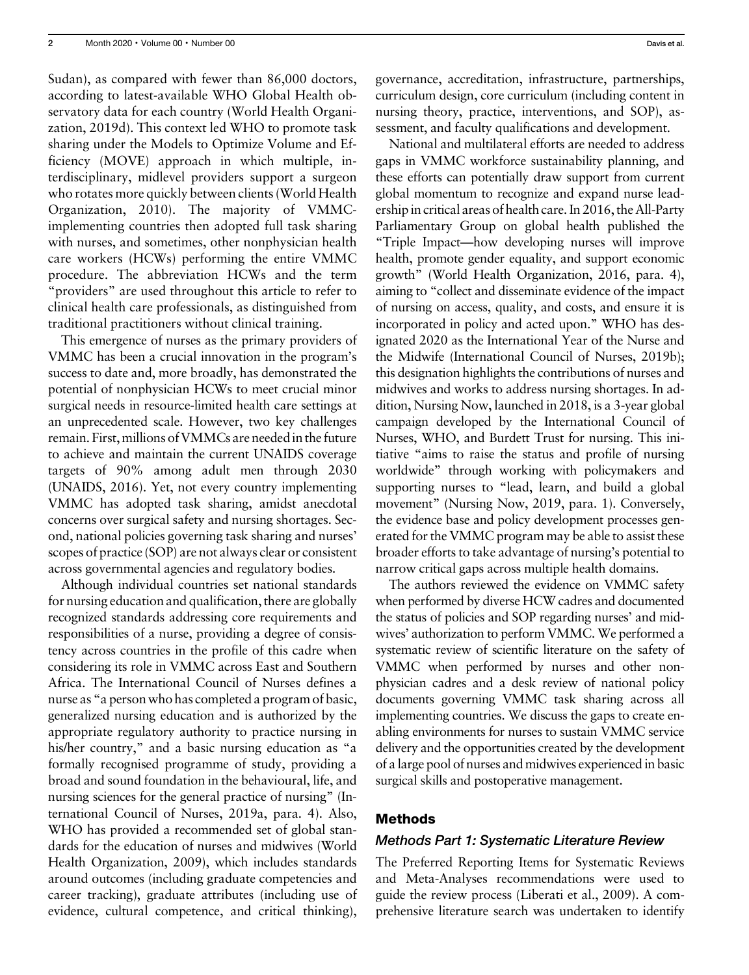Sudan), as compared with fewer than 86,000 doctors, according to latest-available WHO Global Health observatory data for each country (World Health Organization, 2019d). This context led WHO to promote task sharing under the Models to Optimize Volume and Efficiency (MOVE) approach in which multiple, interdisciplinary, midlevel providers support a surgeon who rotates more quickly between clients (World Health Organization, 2010). The majority of VMMCimplementing countries then adopted full task sharing with nurses, and sometimes, other nonphysician health care workers (HCWs) performing the entire VMMC procedure. The abbreviation HCWs and the term "providers" are used throughout this article to refer to clinical health care professionals, as distinguished from traditional practitioners without clinical training.

This emergence of nurses as the primary providers of VMMC has been a crucial innovation in the program's success to date and, more broadly, has demonstrated the potential of nonphysician HCWs to meet crucial minor surgical needs in resource-limited health care settings at an unprecedented scale. However, two key challenges remain. First, millions of VMMCs are neededin the future to achieve and maintain the current UNAIDS coverage targets of 90% among adult men through 2030 (UNAIDS, 2016). Yet, not every country implementing VMMC has adopted task sharing, amidst anecdotal concerns over surgical safety and nursing shortages. Second, national policies governing task sharing and nurses' scopes of practice (SOP) are not always clear or consistent across governmental agencies and regulatory bodies.

Although individual countries set national standards for nursing education and qualification, there are globally recognized standards addressing core requirements and responsibilities of a nurse, providing a degree of consistency across countries in the profile of this cadre when considering its role in VMMC across East and Southern Africa. The International Council of Nurses defines a nurse as "a person who has completed a program of basic, generalized nursing education and is authorized by the appropriate regulatory authority to practice nursing in his/her country," and a basic nursing education as "a formally recognised programme of study, providing a broad and sound foundation in the behavioural, life, and nursing sciences for the general practice of nursing" (International Council of Nurses, 2019a, para. 4). Also, WHO has provided a recommended set of global standards for the education of nurses and midwives (World Health Organization, 2009), which includes standards around outcomes (including graduate competencies and career tracking), graduate attributes (including use of evidence, cultural competence, and critical thinking),

governance, accreditation, infrastructure, partnerships, curriculum design, core curriculum (including content in nursing theory, practice, interventions, and SOP), assessment, and faculty qualifications and development.

National and multilateral efforts are needed to address gaps in VMMC workforce sustainability planning, and these efforts can potentially draw support from current global momentum to recognize and expand nurse leadership in critical areas of health care. In 2016, the All-Party Parliamentary Group on global health published the "Triple Impact—how developing nurses will improve health, promote gender equality, and support economic growth" (World Health Organization, 2016, para. 4), aiming to "collect and disseminate evidence of the impact of nursing on access, quality, and costs, and ensure it is incorporated in policy and acted upon." WHO has designated 2020 as the International Year of the Nurse and the Midwife (International Council of Nurses, 2019b); this designation highlights the contributions of nurses and midwives and works to address nursing shortages. In addition, Nursing Now, launched in 2018, is a 3-year global campaign developed by the International Council of Nurses, WHO, and Burdett Trust for nursing. This initiative "aims to raise the status and profile of nursing worldwide" through working with policymakers and supporting nurses to "lead, learn, and build a global movement" (Nursing Now, 2019, para. 1). Conversely, the evidence base and policy development processes generated for the VMMC program may be able to assist these broader efforts to take advantage of nursing's potential to narrow critical gaps across multiple health domains.

The authors reviewed the evidence on VMMC safety when performed by diverse HCW cadres and documented the status of policies and SOP regarding nurses' and midwives' authorization to perform VMMC. We performed a systematic review of scientific literature on the safety of VMMC when performed by nurses and other nonphysician cadres and a desk review of national policy documents governing VMMC task sharing across all implementing countries. We discuss the gaps to create enabling environments for nurses to sustain VMMC service delivery and the opportunities created by the development of a large pool of nurses and midwives experienced in basic surgical skills and postoperative management.

#### Methods

#### Methods Part 1: Systematic Literature Review

The Preferred Reporting Items for Systematic Reviews and Meta-Analyses recommendations were used to guide the review process (Liberati et al., 2009). A comprehensive literature search was undertaken to identify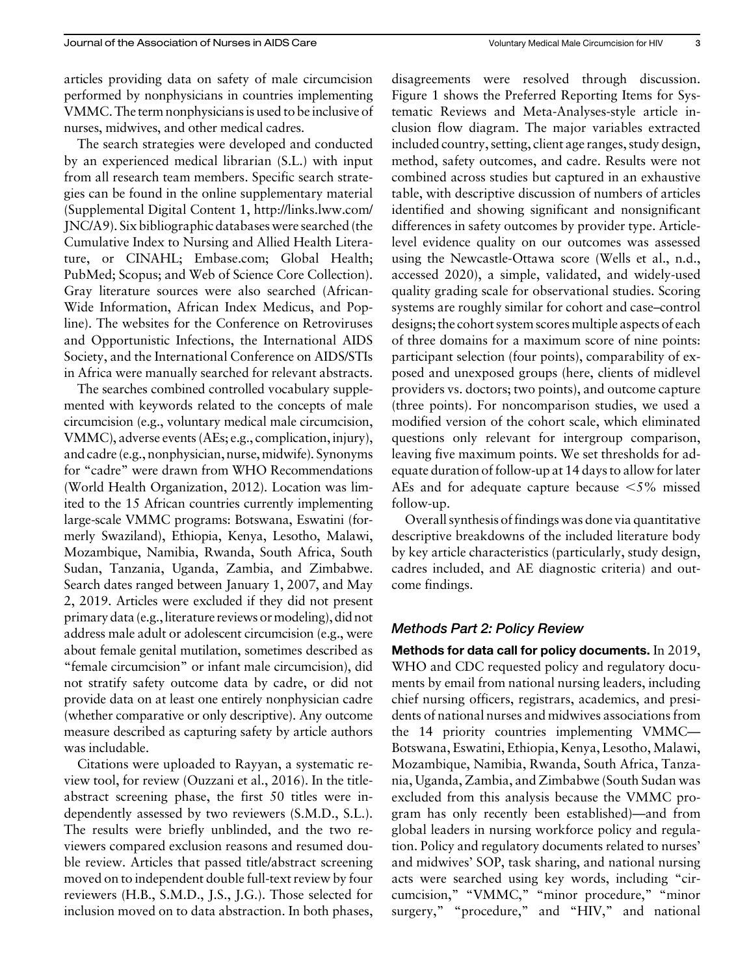articles providing data on safety of male circumcision performed by nonphysicians in countries implementing VMMC. The term nonphysicians is used to be inclusive of nurses, midwives, and other medical cadres.

The search strategies were developed and conducted by an experienced medical librarian (S.L.) with input from all research team members. Specific search strategies can be found in the online supplementary material (Supplemental Digital Content 1, [http://links.lww.com/](http://links.lww.com/JNC/A9) [JNC/A9](http://links.lww.com/JNC/A9)). Six bibliographic databases were searched (the Cumulative Index to Nursing and Allied Health Literature, or CINAHL; [Embase.com;](http://Embase.com) Global Health; PubMed; Scopus; and Web of Science Core Collection). Gray literature sources were also searched (African-Wide Information, African Index Medicus, and Popline). The websites for the Conference on Retroviruses and Opportunistic Infections, the International AIDS Society, and the International Conference on AIDS/STIs in Africa were manually searched for relevant abstracts.

The searches combined controlled vocabulary supplemented with keywords related to the concepts of male circumcision (e.g., voluntary medical male circumcision, VMMC), adverse events (AEs; e.g., complication, injury), and cadre (e.g., nonphysician, nurse, midwife). Synonyms for "cadre" were drawn from WHO Recommendations (World Health Organization, 2012). Location was limited to the 15 African countries currently implementing large-scale VMMC programs: Botswana, Eswatini (formerly Swaziland), Ethiopia, Kenya, Lesotho, Malawi, Mozambique, Namibia, Rwanda, South Africa, South Sudan, Tanzania, Uganda, Zambia, and Zimbabwe. Search dates ranged between January 1, 2007, and May 2, 2019. Articles were excluded if they did not present primary data (e.g., literature reviews or modeling), did not address male adult or adolescent circumcision (e.g., were about female genital mutilation, sometimes described as "female circumcision" or infant male circumcision), did not stratify safety outcome data by cadre, or did not provide data on at least one entirely nonphysician cadre (whether comparative or only descriptive). Any outcome measure described as capturing safety by article authors was includable.

Citations were uploaded to Rayyan, a systematic review tool, for review (Ouzzani et al., 2016). In the titleabstract screening phase, the first 50 titles were independently assessed by two reviewers (S.M.D., S.L.). The results were briefly unblinded, and the two reviewers compared exclusion reasons and resumed double review. Articles that passed title/abstract screening moved on to independent double full-text review by four reviewers (H.B., S.M.D., J.S., J.G.). Those selected for inclusion moved on to data abstraction. In both phases,

disagreements were resolved through discussion. Figure 1 shows the Preferred Reporting Items for Systematic Reviews and Meta-Analyses-style article inclusion flow diagram. The major variables extracted included country, setting, client age ranges, study design, method, safety outcomes, and cadre. Results were not combined across studies but captured in an exhaustive table, with descriptive discussion of numbers of articles identified and showing significant and nonsignificant differences in safety outcomes by provider type. Articlelevel evidence quality on our outcomes was assessed using the Newcastle-Ottawa score (Wells et al., n.d., accessed 2020), a simple, validated, and widely-used quality grading scale for observational studies. Scoring systems are roughly similar for cohort and case–control designs; the cohort system scores multiple aspects of each of three domains for a maximum score of nine points: participant selection (four points), comparability of exposed and unexposed groups (here, clients of midlevel providers vs. doctors; two points), and outcome capture (three points). For noncomparison studies, we used a modified version of the cohort scale, which eliminated questions only relevant for intergroup comparison, leaving five maximum points. We set thresholds for adequate duration of follow-up at 14 days to allow for later AEs and for adequate capture because  $\leq 5\%$  missed follow-up.

Overall synthesis of findings was done via quantitative descriptive breakdowns of the included literature body by key article characteristics (particularly, study design, cadres included, and AE diagnostic criteria) and outcome findings.

#### Methods Part 2: Policy Review

Methods for data call for policy documents. In 2019, WHO and CDC requested policy and regulatory documents by email from national nursing leaders, including chief nursing officers, registrars, academics, and presidents of national nurses and midwives associations from the 14 priority countries implementing VMMC— Botswana, Eswatini, Ethiopia, Kenya, Lesotho, Malawi, Mozambique, Namibia, Rwanda, South Africa, Tanzania, Uganda, Zambia, and Zimbabwe (South Sudan was excluded from this analysis because the VMMC program has only recently been established)—and from global leaders in nursing workforce policy and regulation. Policy and regulatory documents related to nurses' and midwives' SOP, task sharing, and national nursing acts were searched using key words, including "circumcision," "VMMC," "minor procedure," "minor surgery," "procedure," and "HIV," and national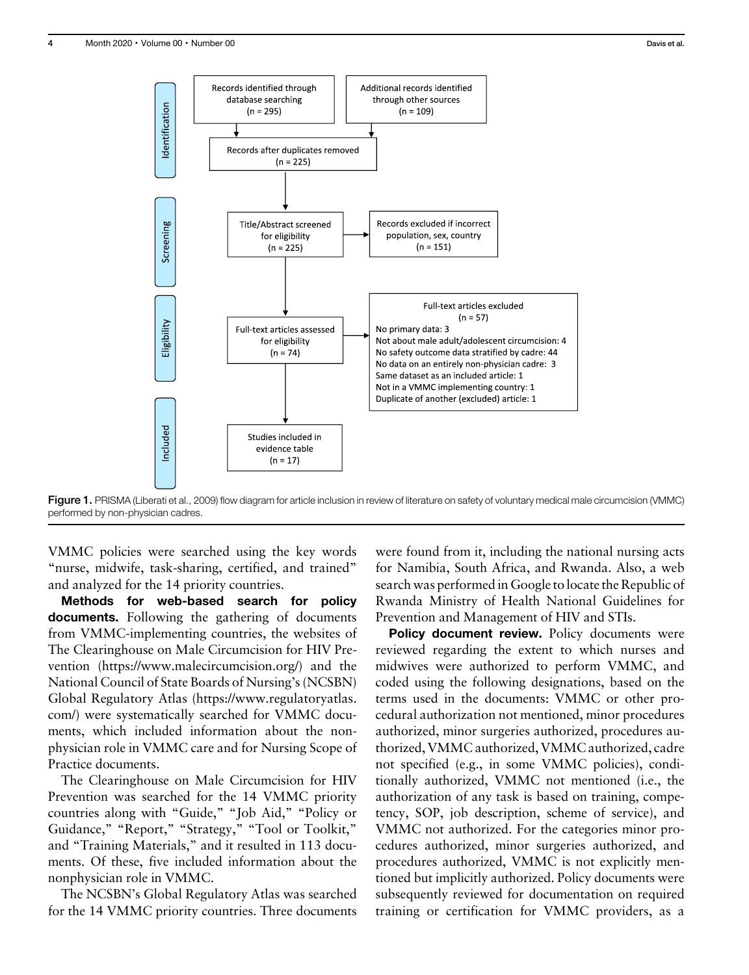

Figure 1. PRISMA (Liberati et al., 2009) flow diagram for article inclusion in review of literature on safety of voluntary medical male circumcision (VMMC) performed by non-physician cadres.

VMMC policies were searched using the key words "nurse, midwife, task-sharing, certified, and trained" and analyzed for the 14 priority countries.

Methods for web-based search for policy documents. Following the gathering of documents from VMMC-implementing countries, the websites of The Clearinghouse on Male Circumcision for HIV Prevention ([https://www.malecircumcision.org/\)](https://www.malecircumcision.org/) and the National Council of State Boards of Nursing's (NCSBN) Global Regulatory Atlas ([https://www.regulatoryatlas.](https://www.regulatoryatlas.com/) [com/\)](https://www.regulatoryatlas.com/) were systematically searched for VMMC documents, which included information about the nonphysician role in VMMC care and for Nursing Scope of Practice documents.

The Clearinghouse on Male Circumcision for HIV Prevention was searched for the 14 VMMC priority countries along with "Guide," "Job Aid," "Policy or Guidance," "Report," "Strategy," "Tool or Toolkit," and "Training Materials," and it resulted in 113 documents. Of these, five included information about the nonphysician role in VMMC.

The NCSBN's Global Regulatory Atlas was searched for the 14 VMMC priority countries. Three documents were found from it, including the national nursing acts for Namibia, South Africa, and Rwanda. Also, a web search was performed in Google to locate the Republic of Rwanda Ministry of Health National Guidelines for Prevention and Management of HIV and STIs.

Policy document review. Policy documents were reviewed regarding the extent to which nurses and midwives were authorized to perform VMMC, and coded using the following designations, based on the terms used in the documents: VMMC or other procedural authorization not mentioned, minor procedures authorized, minor surgeries authorized, procedures authorized, VMMC authorized, VMMC authorized, cadre not specified (e.g., in some VMMC policies), conditionally authorized, VMMC not mentioned (i.e., the authorization of any task is based on training, competency, SOP, job description, scheme of service), and VMMC not authorized. For the categories minor procedures authorized, minor surgeries authorized, and procedures authorized, VMMC is not explicitly mentioned but implicitly authorized. Policy documents were subsequently reviewed for documentation on required training or certification for VMMC providers, as a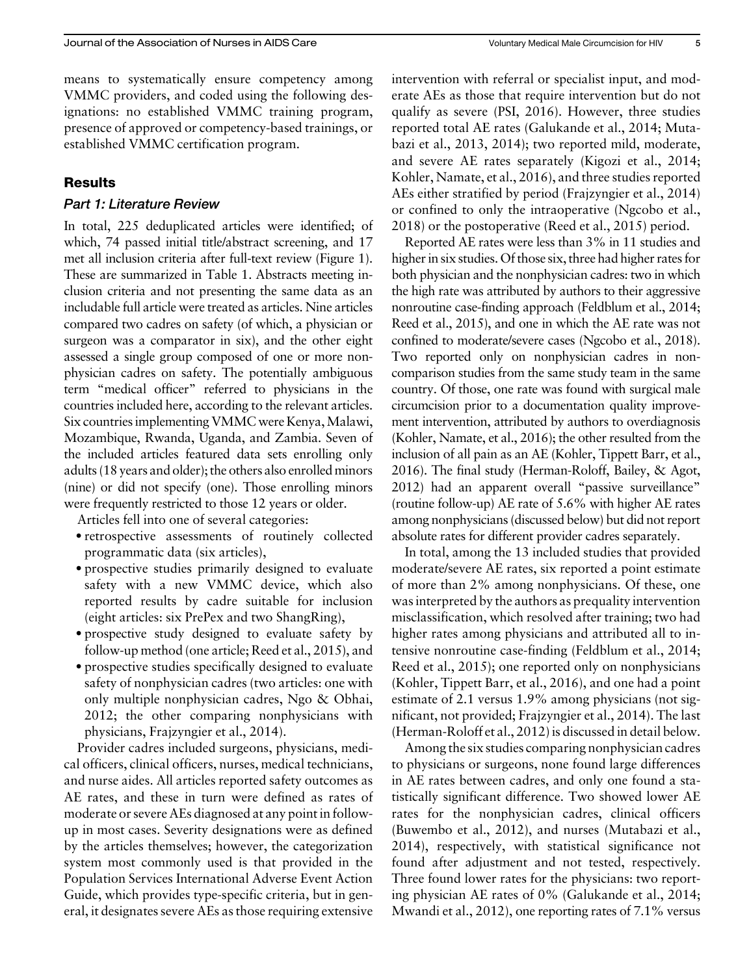means to systematically ensure competency among VMMC providers, and coded using the following designations: no established VMMC training program, presence of approved or competency-based trainings, or established VMMC certification program.

#### Results

#### Part 1: Literature Review

In total, 225 deduplicated articles were identified; of which, 74 passed initial title/abstract screening, and 17 met all inclusion criteria after full-text review (Figure 1). These are summarized in Table 1. Abstracts meeting inclusion criteria and not presenting the same data as an includable full article were treated as articles. Nine articles compared two cadres on safety (of which, a physician or surgeon was a comparator in six), and the other eight assessed a single group composed of one or more nonphysician cadres on safety. The potentially ambiguous term "medical officer" referred to physicians in the countries included here, according to the relevant articles. Six countries implementing VMMC were Kenya, Malawi, Mozambique, Rwanda, Uganda, and Zambia. Seven of the included articles featured data sets enrolling only adults (18 years and older); the others also enrolled minors (nine) or did not specify (one). Those enrolling minors were frequently restricted to those 12 years or older.

Articles fell into one of several categories:

- ·retrospective assessments of routinely collected programmatic data (six articles),
- ·prospective studies primarily designed to evaluate safety with a new VMMC device, which also reported results by cadre suitable for inclusion (eight articles: six PrePex and two ShangRing),
- ·prospective study designed to evaluate safety by follow-up method (one article; Reed et al., 2015), and
- ·prospective studies specifically designed to evaluate safety of nonphysician cadres (two articles: one with only multiple nonphysician cadres, Ngo & Obhai, 2012; the other comparing nonphysicians with physicians, Frajzyngier et al., 2014).

Provider cadres included surgeons, physicians, medical officers, clinical officers, nurses, medical technicians, and nurse aides. All articles reported safety outcomes as AE rates, and these in turn were defined as rates of moderate or severe AEs diagnosed at any point in followup in most cases. Severity designations were as defined by the articles themselves; however, the categorization system most commonly used is that provided in the Population Services International Adverse Event Action Guide, which provides type-specific criteria, but in general, it designates severe AEs as those requiring extensive intervention with referral or specialist input, and moderate AEs as those that require intervention but do not qualify as severe (PSI, 2016). However, three studies reported total AE rates (Galukande et al., 2014; Mutabazi et al., 2013, 2014); two reported mild, moderate, and severe AE rates separately (Kigozi et al., 2014; Kohler, Namate, et al., 2016), and three studies reported AEs either stratified by period (Frajzyngier et al., 2014) or confined to only the intraoperative (Ngcobo et al., 2018) or the postoperative (Reed et al., 2015) period.

Reported AE rates were less than 3% in 11 studies and higher in six studies. Of those six, three had higher rates for both physician and the nonphysician cadres: two in which the high rate was attributed by authors to their aggressive nonroutine case-finding approach (Feldblum et al., 2014; Reed et al., 2015), and one in which the AE rate was not confined to moderate/severe cases (Ngcobo et al., 2018). Two reported only on nonphysician cadres in noncomparison studies from the same study team in the same country. Of those, one rate was found with surgical male circumcision prior to a documentation quality improvement intervention, attributed by authors to overdiagnosis (Kohler, Namate, et al., 2016); the other resulted from the inclusion of all pain as an AE (Kohler, Tippett Barr, et al., 2016). The final study (Herman-Roloff, Bailey, & Agot, 2012) had an apparent overall "passive surveillance" (routine follow-up) AE rate of 5.6% with higher AE rates among nonphysicians (discussed below) but did not report absolute rates for different provider cadres separately.

In total, among the 13 included studies that provided moderate/severe AE rates, six reported a point estimate of more than 2% among nonphysicians. Of these, one was interpreted by the authors as prequality intervention misclassification, which resolved after training; two had higher rates among physicians and attributed all to intensive nonroutine case-finding (Feldblum et al., 2014; Reed et al., 2015); one reported only on nonphysicians (Kohler, Tippett Barr, et al., 2016), and one had a point estimate of 2.1 versus 1.9% among physicians (not significant, not provided; Frajzyngier et al., 2014). The last (Herman-Roloff et al., 2012) is discussed in detail below.

Among the six studies comparing nonphysician cadres to physicians or surgeons, none found large differences in AE rates between cadres, and only one found a statistically significant difference. Two showed lower AE rates for the nonphysician cadres, clinical officers (Buwembo et al., 2012), and nurses (Mutabazi et al., 2014), respectively, with statistical significance not found after adjustment and not tested, respectively. Three found lower rates for the physicians: two reporting physician AE rates of 0% (Galukande et al., 2014; Mwandi et al., 2012), one reporting rates of 7.1% versus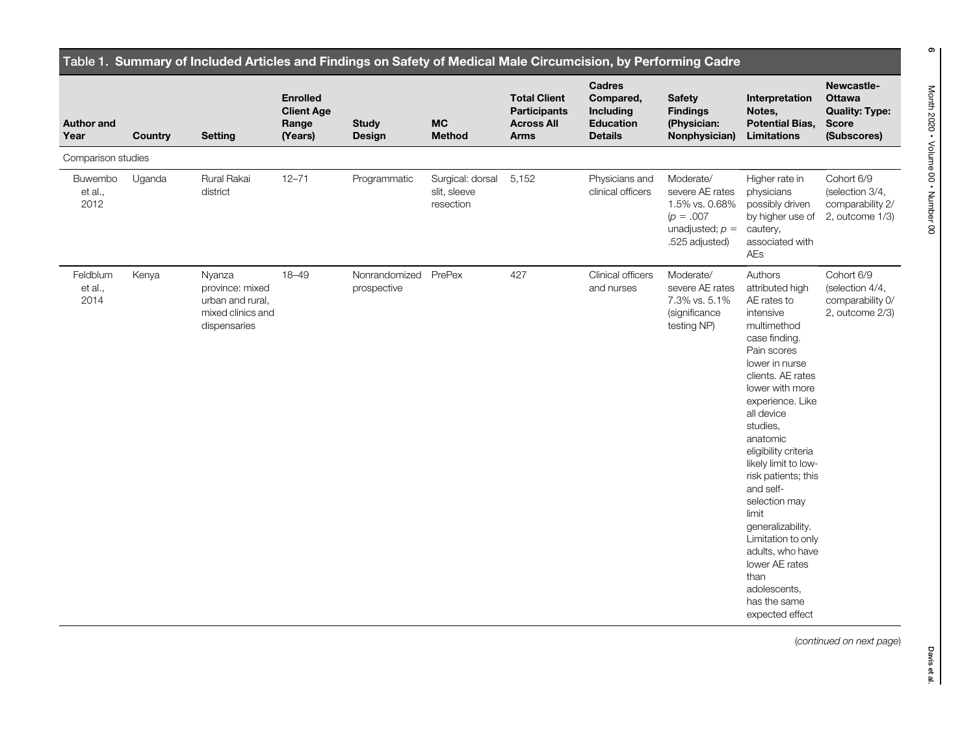| <b>Author and</b><br>Year         | Country | <b>Setting</b>                                                                     | <b>Enrolled</b><br><b>Client Age</b><br>Range<br>(Years) | <b>Study</b><br>Design       | <b>MC</b><br><b>Method</b>                    | <b>Total Client</b><br><b>Participants</b><br><b>Across All</b><br><b>Arms</b> | <b>Cadres</b><br>Compared,<br><b>Including</b><br><b>Education</b><br><b>Details</b> | <b>Safety</b><br><b>Findings</b><br>(Physician:<br>Nonphysician)                                      | Interpretation<br>Notes,<br><b>Potential Bias,</b><br><b>Limitations</b>                                                                                                                                                                                                                                                                                                                                                                                                            | Newcastle-<br><b>Ottawa</b><br><b>Quality: Type:</b><br><b>Score</b><br>(Subscores) |
|-----------------------------------|---------|------------------------------------------------------------------------------------|----------------------------------------------------------|------------------------------|-----------------------------------------------|--------------------------------------------------------------------------------|--------------------------------------------------------------------------------------|-------------------------------------------------------------------------------------------------------|-------------------------------------------------------------------------------------------------------------------------------------------------------------------------------------------------------------------------------------------------------------------------------------------------------------------------------------------------------------------------------------------------------------------------------------------------------------------------------------|-------------------------------------------------------------------------------------|
| Comparison studies                |         |                                                                                    |                                                          |                              |                                               |                                                                                |                                                                                      |                                                                                                       |                                                                                                                                                                                                                                                                                                                                                                                                                                                                                     |                                                                                     |
| <b>Buwembo</b><br>et al.,<br>2012 | Uganda  | Rural Rakai<br>district                                                            | $12 - 71$                                                | Programmatic                 | Surgical: dorsal<br>slit, sleeve<br>resection | 5,152                                                                          | Physicians and<br>clinical officers                                                  | Moderate/<br>severe AE rates<br>1.5% vs. 0.68%<br>$(p = .007)$<br>unadjusted; $p =$<br>.525 adjusted) | Higher rate in<br>physicians<br>possibly driven<br>by higher use of<br>cautery,<br>associated with<br>AEs                                                                                                                                                                                                                                                                                                                                                                           | Cohort 6/9<br>(selection 3/4,<br>comparability 2/<br>2, outcome 1/3)                |
| Feldblum<br>et al.,<br>2014       | Kenya   | Nyanza<br>province: mixed<br>urban and rural,<br>mixed clinics and<br>dispensaries | $18 - 49$                                                | Nonrandomized<br>prospective | PrePex                                        | 427                                                                            | Clinical officers<br>and nurses                                                      | Moderate/<br>severe AE rates<br>7.3% vs. 5.1%<br>(significance<br>testing NP)                         | Authors<br>attributed high<br>AE rates to<br>intensive<br>multimethod<br>case finding.<br>Pain scores<br>lower in nurse<br>clients. AE rates<br>lower with more<br>experience. Like<br>all device<br>studies,<br>anatomic<br>eligibility criteria<br>likely limit to low-<br>risk patients; this<br>and self-<br>selection may<br>limit<br>generalizability.<br>Limitation to only<br>adults, who have<br>lower AE rates<br>than<br>adolescents,<br>has the same<br>expected effect | Cohort 6/9<br>(selection 4/4,<br>comparability 0/<br>2, outcome 2/3)                |

(continued on next page)

 $\bullet$ 

۰

Davis et al.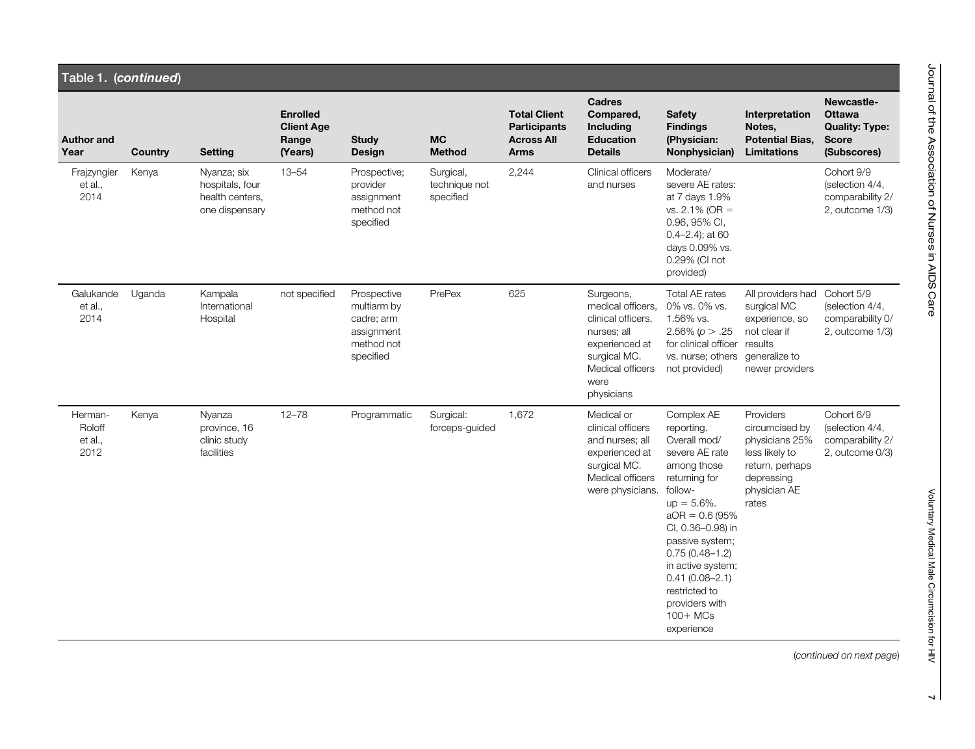|                                      | Table 1. (continued) |                                                                     |                                                          |                                                                                   |                                         |                                                                                |                                                                                                                                                 |                                                                                                                                                                                                                                                                                                                       |                                                                                                                           |                                                                              |  |  |  |  |
|--------------------------------------|----------------------|---------------------------------------------------------------------|----------------------------------------------------------|-----------------------------------------------------------------------------------|-----------------------------------------|--------------------------------------------------------------------------------|-------------------------------------------------------------------------------------------------------------------------------------------------|-----------------------------------------------------------------------------------------------------------------------------------------------------------------------------------------------------------------------------------------------------------------------------------------------------------------------|---------------------------------------------------------------------------------------------------------------------------|------------------------------------------------------------------------------|--|--|--|--|
| <b>Author and</b><br>Year            | <b>Country</b>       | <b>Setting</b>                                                      | <b>Enrolled</b><br><b>Client Age</b><br>Range<br>(Years) | <b>Study</b><br>Design                                                            | <b>MC</b><br><b>Method</b>              | <b>Total Client</b><br><b>Participants</b><br><b>Across All</b><br><b>Arms</b> | <b>Cadres</b><br>Compared,<br>Including<br><b>Education</b><br><b>Details</b>                                                                   | <b>Safety</b><br><b>Findings</b><br>(Physician:<br>Nonphysician)                                                                                                                                                                                                                                                      | Interpretation<br>Notes,<br><b>Potential Bias.</b><br><b>Limitations</b>                                                  | Newcastle-<br>Ottawa<br><b>Quality: Type:</b><br><b>Score</b><br>(Subscores) |  |  |  |  |
| Frajzyngier<br>et al.,<br>2014       | Kenya                | Nyanza; six<br>hospitals, four<br>health centers.<br>one dispensary | $13 - 54$                                                | Prospective:<br>provider<br>assignment<br>method not<br>specified                 | Surgical,<br>technique not<br>specified | 2,244                                                                          | Clinical officers<br>and nurses                                                                                                                 | Moderate/<br>severe AE rates:<br>at 7 days 1.9%<br>vs. $2.1\%$ (OR =<br>0.96, 95% CI,<br>$0.4 - 2.4$ ; at 60<br>days 0.09% vs.<br>0.29% (CI not<br>provided)                                                                                                                                                          |                                                                                                                           | Cohort 9/9<br>(selection 4/4,<br>comparability 2/<br>2, outcome 1/3)         |  |  |  |  |
| Galukande<br>et al.,<br>2014         | Uganda               | Kampala<br>International<br>Hospital                                | not specified                                            | Prospective<br>multiarm by<br>cadre; arm<br>assignment<br>method not<br>specified | PrePex                                  | 625                                                                            | Surgeons,<br>medical officers.<br>clinical officers,<br>nurses; all<br>experienced at<br>surgical MC.<br>Medical officers<br>were<br>physicians | Total AE rates<br>0% vs. 0% vs.<br>1.56% vs.<br>2.56% ( $p > .25$<br>for clinical officer<br>vs. nurse; others<br>not provided)                                                                                                                                                                                       | All providers had<br>surgical MC<br>experience, so<br>not clear if<br>results<br>generalize to<br>newer providers         | Cohort 5/9<br>(selection 4/4,<br>comparability 0/<br>2, outcome 1/3)         |  |  |  |  |
| Herman-<br>Roloff<br>et al.,<br>2012 | Kenya                | Nyanza<br>province, 16<br>clinic study<br>facilities                | $12 - 78$                                                | Programmatic                                                                      | Surgical:<br>forceps-quided             | 1,672                                                                          | Medical or<br>clinical officers<br>and nurses; all<br>experienced at<br>surgical MC.<br>Medical officers<br>were physicians.                    | Complex AE<br>reporting.<br>Overall mod/<br>severe AE rate<br>among those<br>returning for<br>follow-<br>$up = 5.6\%$ .<br>$aOR = 0.6 (95\%$<br>CI, 0.36-0.98) in<br>passive system;<br>$0.75(0.48 - 1.2)$<br>in active system;<br>$0.41(0.08 - 2.1)$<br>restricted to<br>providers with<br>$100 + MCs$<br>experience | Providers<br>circumcised by<br>physicians 25%<br>less likely to<br>return, perhaps<br>depressing<br>physician AE<br>rates | Cohort 6/9<br>(selection 4/4,<br>comparability 2/<br>2, outcome 0/3)         |  |  |  |  |

(continued on next page)

Voluntary Medical Male Circumcision for HIV

Voluntary Medical Male Circumcision for HIV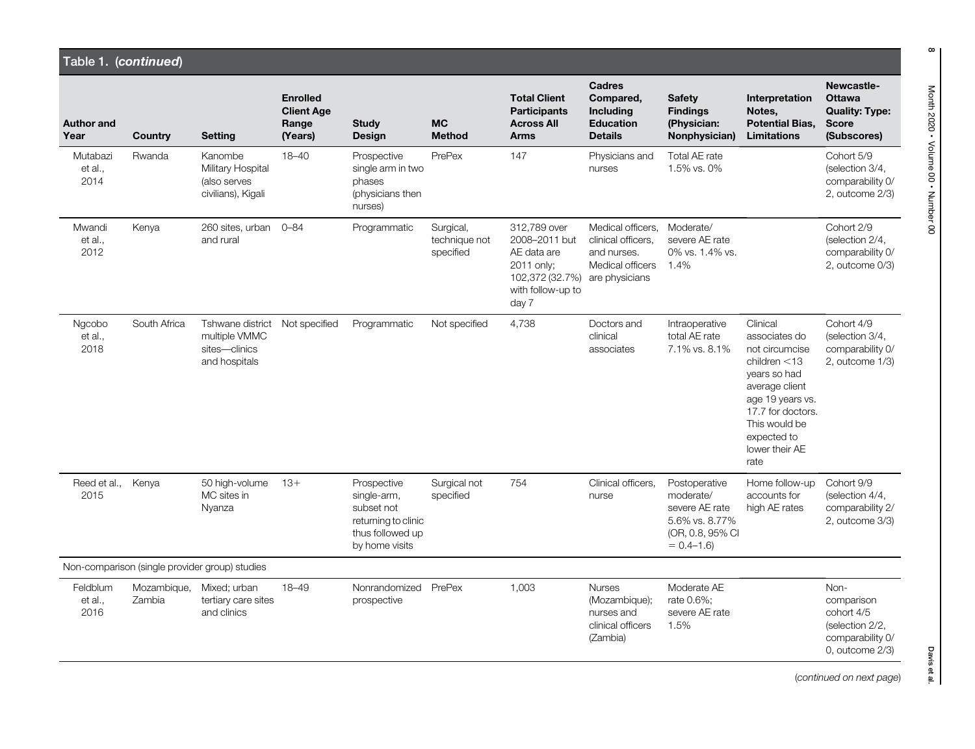| Table 1. (continued)        |                       |                                                                     |                                                          |                                                                                                       |                                         |                                                                                                             |                                                                                              |                                                                                                     |                                                                                                                                                                                                     |                                                                                                  |
|-----------------------------|-----------------------|---------------------------------------------------------------------|----------------------------------------------------------|-------------------------------------------------------------------------------------------------------|-----------------------------------------|-------------------------------------------------------------------------------------------------------------|----------------------------------------------------------------------------------------------|-----------------------------------------------------------------------------------------------------|-----------------------------------------------------------------------------------------------------------------------------------------------------------------------------------------------------|--------------------------------------------------------------------------------------------------|
| <b>Author and</b><br>Year   | Country               | <b>Setting</b>                                                      | <b>Enrolled</b><br><b>Client Age</b><br>Range<br>(Years) | <b>Study</b><br><b>Design</b>                                                                         | <b>MC</b><br><b>Method</b>              | <b>Total Client</b><br><b>Participants</b><br><b>Across All</b><br><b>Arms</b>                              | <b>Cadres</b><br>Compared,<br>Including<br><b>Education</b><br><b>Details</b>                | <b>Safety</b><br><b>Findings</b><br>(Physician:<br>Nonphysician)                                    | Interpretation<br>Notes,<br><b>Potential Bias.</b><br><b>Limitations</b>                                                                                                                            | Newcastle-<br><b>Ottawa</b><br><b>Quality: Type:</b><br><b>Score</b><br>(Subscores)              |
| Mutabazi<br>et al.,<br>2014 | Rwanda                | Kanombe<br>Military Hospital<br>(also serves<br>civilians), Kigali  | $18 - 40$                                                | Prospective<br>single arm in two<br>phases<br>(physicians then<br>nurses)                             | PrePex                                  | 147                                                                                                         | Physicians and<br>nurses                                                                     | Total AE rate<br>1.5% vs. 0%                                                                        |                                                                                                                                                                                                     | Cohort 5/9<br>(selection 3/4,<br>comparability 0/<br>2, outcome 2/3)                             |
| Mwandi<br>et al.,<br>2012   | Kenya                 | 260 sites, urban<br>and rural                                       | $0 - 84$                                                 | Programmatic                                                                                          | Surgical,<br>technique not<br>specified | 312,789 over<br>2008-2011 but<br>AE data are<br>2011 only;<br>102,372 (32.7%)<br>with follow-up to<br>day 7 | Medical officers.<br>clinical officers.<br>and nurses.<br>Medical officers<br>are physicians | Moderate/<br>severe AE rate<br>0% vs. 1.4% vs.<br>1.4%                                              |                                                                                                                                                                                                     | Cohort 2/9<br>(selection 2/4,<br>comparability 0/<br>2, outcome 0/3)                             |
| Ngcobo<br>et al.,<br>2018   | South Africa          | Tshwane district<br>multiple VMMC<br>sites-clinics<br>and hospitals | Not specified                                            | Programmatic                                                                                          | Not specified                           | 4,738                                                                                                       | Doctors and<br>clinical<br>associates                                                        | Intraoperative<br>total AE rate<br>7.1% vs. 8.1%                                                    | Clinical<br>associates do<br>not circumcise<br>children $<$ 13<br>years so had<br>average client<br>age 19 years vs.<br>17.7 for doctors.<br>This would be<br>expected to<br>lower their AE<br>rate | Cohort 4/9<br>(selection 3/4,<br>comparability 0/<br>2, outcome 1/3)                             |
| Reed et al.,<br>2015        | Kenya                 | 50 high-volume<br>MC sites in<br>Nyanza                             | $13+$                                                    | Prospective<br>single-arm,<br>subset not<br>returning to clinic<br>thus followed up<br>by home visits | Surgical not<br>specified               | 754                                                                                                         | Clinical officers,<br>nurse                                                                  | Postoperative<br>moderate/<br>severe AE rate<br>5.6% vs. 8.77%<br>(OR, 0.8, 95% CI<br>$= 0.4 - 1.6$ | Home follow-up<br>accounts for<br>high AE rates                                                                                                                                                     | Cohort 9/9<br>(selection 4/4,<br>comparability 2/<br>2, outcome 3/3)                             |
|                             |                       | Non-comparison (single provider group) studies                      |                                                          |                                                                                                       |                                         |                                                                                                             |                                                                                              |                                                                                                     |                                                                                                                                                                                                     |                                                                                                  |
| Feldblum<br>et al.,<br>2016 | Mozambique,<br>Zambia | Mixed; urban<br>tertiary care sites<br>and clinics                  | 18-49                                                    | Nonrandomized PrePex<br>prospective                                                                   |                                         | 1,003                                                                                                       | <b>Nurses</b><br>(Mozambique);<br>nurses and<br>clinical officers<br>(Zambia)                | Moderate AE<br>rate 0.6%:<br>severe AE rate<br>1.5%                                                 |                                                                                                                                                                                                     | Non-<br>comparison<br>cohort 4/5<br>(selection 2/2,<br>comparability 0/<br>$0$ , outcome $2/3$ ) |

Davis et al.

(continued on next page)

Month 2020 • Volume 00 • Number 00

 $\infty$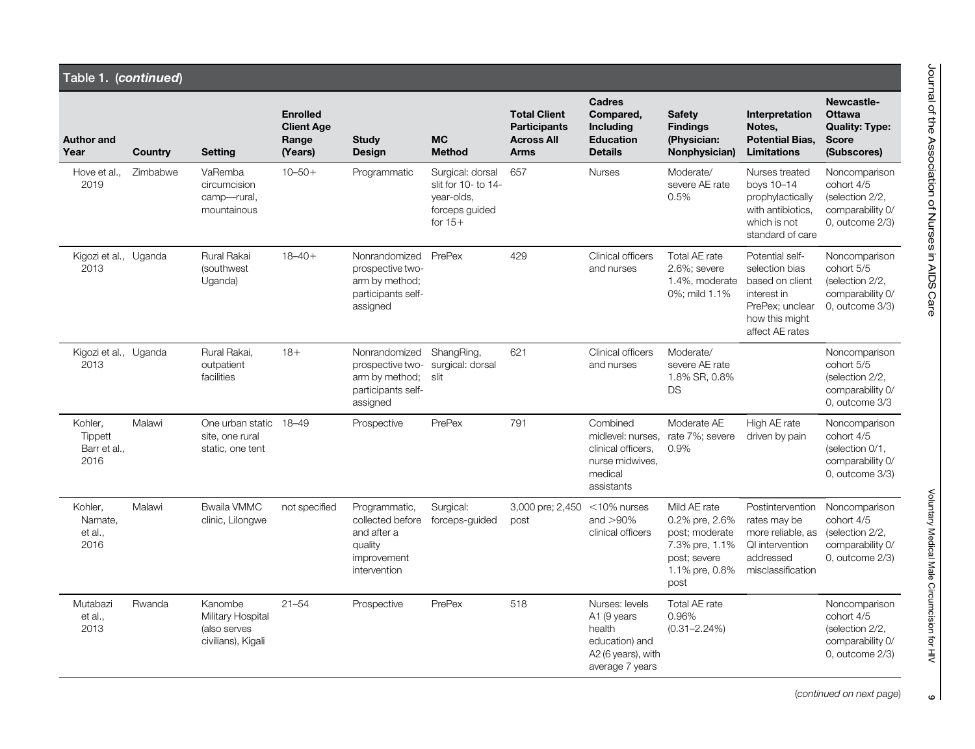|                                            | Table 1. (continued) |                                                                    |                                                          |                                                                                            |                                                                                      |                                                                                |                                                                                                    |                                                                                                              |                                                                                                                             |                                                                                             |  |  |  |  |
|--------------------------------------------|----------------------|--------------------------------------------------------------------|----------------------------------------------------------|--------------------------------------------------------------------------------------------|--------------------------------------------------------------------------------------|--------------------------------------------------------------------------------|----------------------------------------------------------------------------------------------------|--------------------------------------------------------------------------------------------------------------|-----------------------------------------------------------------------------------------------------------------------------|---------------------------------------------------------------------------------------------|--|--|--|--|
| <b>Author and</b><br>Year                  | <b>Country</b>       | Setting                                                            | <b>Enrolled</b><br><b>Client Age</b><br>Range<br>(Years) | <b>Study</b><br>Design                                                                     | <b>MC</b><br><b>Method</b>                                                           | <b>Total Client</b><br><b>Participants</b><br><b>Across All</b><br><b>Arms</b> | Cadres<br>Compared,<br>Including<br><b>Education</b><br><b>Details</b>                             | <b>Safety</b><br><b>Findings</b><br>(Physician:<br>Nonphysician)                                             | Interpretation<br>Notes,<br><b>Potential Bias,</b><br><b>Limitations</b>                                                    | Newcastle-<br><b>Ottawa</b><br><b>Quality: Type:</b><br><b>Score</b><br>(Subscores)         |  |  |  |  |
| Hove et al.,<br>2019                       | Zimbabwe             | VaRemba<br>circumcision<br>camp-rural,<br>mountainous              | $10 - 50 +$                                              | Programmatic                                                                               | Surgical: dorsal<br>slit for 10- to 14-<br>year-olds,<br>forceps guided<br>for $15+$ | 657                                                                            | <b>Nurses</b>                                                                                      | Moderate/<br>severe AE rate<br>0.5%                                                                          | Nurses treated<br>boys 10-14<br>prophylactically<br>with antibiotics.<br>which is not<br>standard of care                   | Noncomparison<br>cohort 4/5<br>(selection 2/2,<br>comparability 0/<br>$0$ , outcome $2/3$ ) |  |  |  |  |
| Kigozi et al., Uganda<br>2013              |                      | Rural Rakai<br>(southwest<br>Uganda)                               | $18 - 40 +$                                              | Nonrandomized<br>prospective two-<br>arm by method:<br>participants self-<br>assigned      | PrePex                                                                               | 429                                                                            | Clinical officers<br>and nurses                                                                    | Total AE rate<br>2.6%; severe<br>1.4%, moderate<br>0%; mild 1.1%                                             | Potential self-<br>selection bias<br>based on client<br>interest in<br>PrePex: unclear<br>how this might<br>affect AE rates | Noncomparison<br>cohort 5/5<br>(selection 2/2,<br>comparability 0/<br>0, outcome 3/3)       |  |  |  |  |
| Kigozi et al., Uganda<br>2013              |                      | Rural Rakai,<br>outpatient<br>facilities                           | $18+$                                                    | Nonrandomized<br>prospective two-<br>arm by method;<br>participants self-<br>assigned      | ShangRing,<br>surgical: dorsal<br>slit                                               | 621                                                                            | Clinical officers<br>and nurses                                                                    | Moderate/<br>severe AE rate<br>1.8% SR, 0.8%<br><b>DS</b>                                                    |                                                                                                                             | Noncomparison<br>cohort 5/5<br>(selection 2/2,<br>comparability 0/<br>0. outcome 3/3        |  |  |  |  |
| Kohler,<br>Tippett<br>Barr et al.,<br>2016 | Malawi               | One urban static 18-49<br>site, one rural<br>static, one tent      |                                                          | Prospective                                                                                | PrePex                                                                               | 791                                                                            | Combined<br>midlevel: nurses.<br>clinical officers.<br>nurse midwives.<br>medical<br>assistants    | Moderate AE<br>rate 7%; severe<br>0.9%                                                                       | High AE rate<br>driven by pain                                                                                              | Noncomparison<br>cohort 4/5<br>(selection 0/1,<br>comparability 0/<br>$0$ , outcome $3/3$ ) |  |  |  |  |
| Kohler,<br>Namate,<br>et al.,<br>2016      | Malawi               | <b>Bwaila VMMC</b><br>clinic, Lilongwe                             | not specified                                            | Programmatic,<br>collected before<br>and after a<br>quality<br>improvement<br>intervention | Surgical:<br>forceps-quided                                                          | 3,000 pre; 2,450 < 10% nurses<br>post                                          | and $>90\%$<br>clinical officers                                                                   | Mild AE rate<br>0.2% pre, 2.6%<br>post; moderate<br>7.3% pre, 1.1%<br>post; severe<br>1.1% pre, 0.8%<br>post | Postintervention<br>rates may be<br>more reliable, as<br>QI intervention<br>addressed<br>misclassification                  | Noncomparison<br>cohort 4/5<br>(selection 2/2,<br>comparability 0/<br>$0$ , outcome $2/3$ ) |  |  |  |  |
| Mutabazi<br>et al.,<br>2013                | Rwanda               | Kanombe<br>Military Hospital<br>(also serves<br>civilians), Kigali | $21 - 54$                                                | Prospective                                                                                | PrePex                                                                               | 518                                                                            | Nurses: levels<br>A1 (9 years<br>health<br>education) and<br>A2 (6 years), with<br>average 7 years | Total AE rate<br>0.96%<br>$(0.31 - 2.24\%)$                                                                  |                                                                                                                             | Noncomparison<br>cohort 4/5<br>(selection 2/2,<br>comparability 0/<br>$0$ , outcome $2/3$ ) |  |  |  |  |

Voluntary Medical Male Circumcision for HIV Voluntary Medical Male Circumcision for HIV

ا ہ

(continued on next page)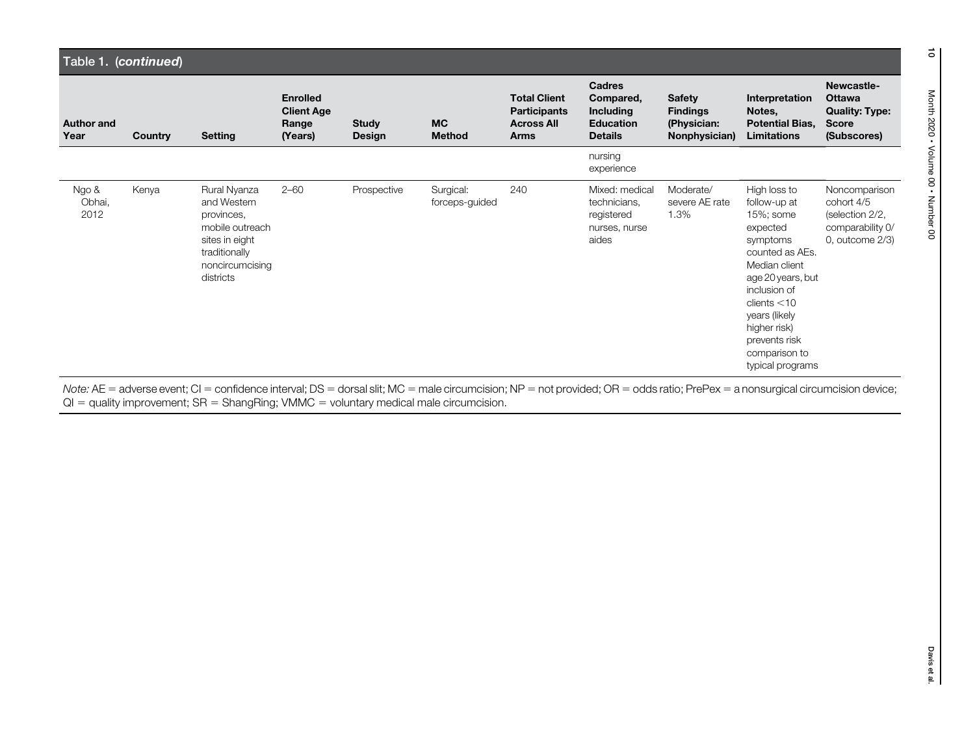|                           | Table 1. (continued) |                                                                                                                                 |                                                          |                               |                             |                                                                                |                                                                                      |                                                                  |                                                                                                                                                                                                                                                   |                                                                                          |  |  |  |  |
|---------------------------|----------------------|---------------------------------------------------------------------------------------------------------------------------------|----------------------------------------------------------|-------------------------------|-----------------------------|--------------------------------------------------------------------------------|--------------------------------------------------------------------------------------|------------------------------------------------------------------|---------------------------------------------------------------------------------------------------------------------------------------------------------------------------------------------------------------------------------------------------|------------------------------------------------------------------------------------------|--|--|--|--|
| <b>Author and</b><br>Year | <b>Country</b>       | <b>Setting</b>                                                                                                                  | <b>Enrolled</b><br><b>Client Age</b><br>Range<br>(Years) | <b>Study</b><br><b>Design</b> | <b>MC</b><br><b>Method</b>  | <b>Total Client</b><br><b>Participants</b><br><b>Across All</b><br><b>Arms</b> | <b>Cadres</b><br>Compared,<br><b>Including</b><br><b>Education</b><br><b>Details</b> | <b>Safety</b><br><b>Findings</b><br>(Physician:<br>Nonphysician) | Interpretation<br>Notes,<br><b>Potential Bias,</b><br><b>Limitations</b>                                                                                                                                                                          | Newcastle-<br><b>Ottawa</b><br><b>Quality: Type:</b><br><b>Score</b><br>(Subscores)      |  |  |  |  |
|                           |                      |                                                                                                                                 |                                                          |                               |                             |                                                                                | nursing<br>experience                                                                |                                                                  |                                                                                                                                                                                                                                                   |                                                                                          |  |  |  |  |
| Ngo &<br>Obhai,<br>2012   | Kenya                | Rural Nyanza<br>and Western<br>provinces,<br>mobile outreach<br>sites in eight<br>traditionally<br>noncircumcising<br>districts | $2 - 60$                                                 | Prospective                   | Surgical:<br>forceps-guided | 240                                                                            | Mixed: medical<br>technicians,<br>registered<br>nurses, nurse<br>aides               | Moderate/<br>severe AE rate<br>1.3%                              | High loss to<br>follow-up at<br>15%; some<br>expected<br>symptoms<br>counted as AEs.<br>Median client<br>age 20 years, but<br>inclusion of<br>clients < 10<br>years (likely<br>higher risk)<br>prevents risk<br>comparison to<br>typical programs | Noncomparison<br>cohort 4/5<br>(selection 2/2,<br>comparability 0/<br>0, outcome $2/3$ ) |  |  |  |  |

Note: AE = adverse event; CI = confidence interval; DS = dorsal slit; MC = male circumcision; NP = not provided; OR = odds ratio; PrePex = a nonsurgical circumcision device; QI = quality improvement; SR = ShangRing; VMMC = voluntary medical male circumcision.

 $\vec{0}$ 

Month 2020 • Volume 00 • Number 00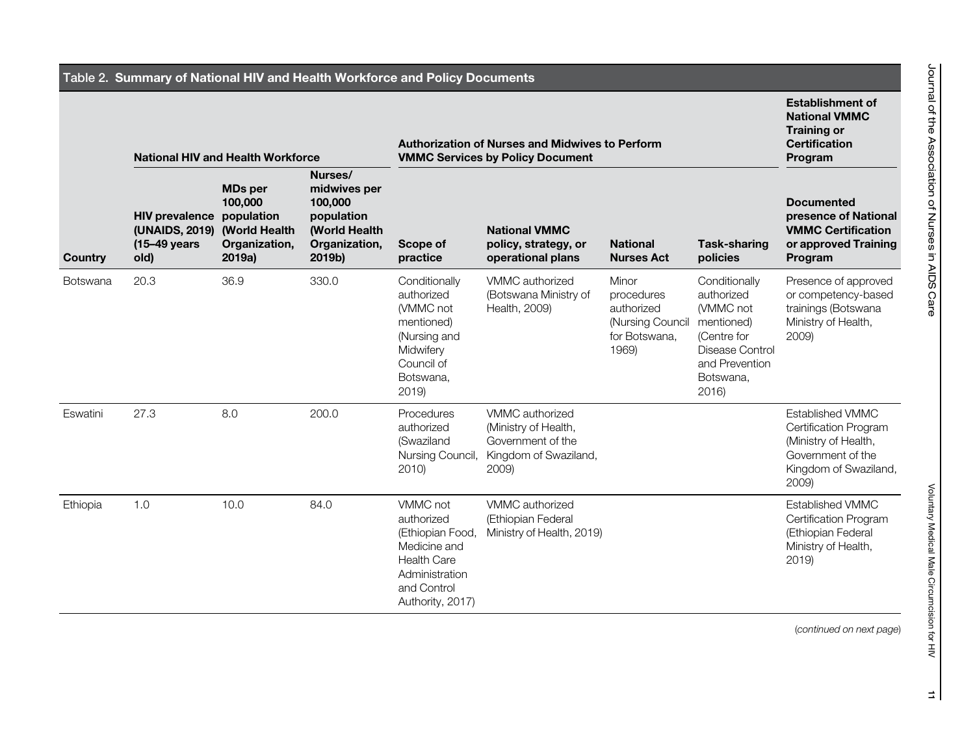|          | Table 2. Summary of National HIV and Health Workforce and Policy Documents                  |                                                      |                                                                                              |                                                                                                                                       |                                                                                                          |                                                                                 |                                                                                                                                 |                                                                                                                                 |  |  |  |  |  |  |
|----------|---------------------------------------------------------------------------------------------|------------------------------------------------------|----------------------------------------------------------------------------------------------|---------------------------------------------------------------------------------------------------------------------------------------|----------------------------------------------------------------------------------------------------------|---------------------------------------------------------------------------------|---------------------------------------------------------------------------------------------------------------------------------|---------------------------------------------------------------------------------------------------------------------------------|--|--|--|--|--|--|
|          | <b>National HIV and Health Workforce</b>                                                    |                                                      |                                                                                              | <b>Authorization of Nurses and Midwives to Perform</b><br><b>VMMC Services by Policy Document</b>                                     | <b>Establishment of</b><br><b>National VMMC</b><br><b>Training or</b><br><b>Certification</b><br>Program |                                                                                 |                                                                                                                                 |                                                                                                                                 |  |  |  |  |  |  |
| Country  | <b>HIV prevalence population</b><br>(UNAIDS, 2019) (World Health<br>$(15-49)$ years<br>old) | <b>MDs per</b><br>100,000<br>Organization,<br>2019a) | Nurses/<br>midwives per<br>100,000<br>population<br>(World Health<br>Organization,<br>2019b) | Scope of<br>practice                                                                                                                  | <b>National VMMC</b><br>policy, strategy, or<br>operational plans                                        | <b>National</b><br><b>Nurses Act</b>                                            | <b>Task-sharing</b><br>policies                                                                                                 | <b>Documented</b><br>presence of National<br><b>VMMC Certification</b><br>or approved Training<br>Program                       |  |  |  |  |  |  |
| Botswana | 20.3                                                                                        | 36.9                                                 | 330.0                                                                                        | Conditionally<br>authorized<br>(VMMC not<br>mentioned)<br>(Nursing and<br>Midwifery<br>Council of<br>Botswana,<br>2019                | VMMC authorized<br>(Botswana Ministry of<br>Health, 2009)                                                | Minor<br>procedures<br>authorized<br>(Nursing Council<br>for Botswana,<br>1969) | Conditionally<br>authorized<br>(VMMC not<br>mentioned)<br>(Centre for<br>Disease Control<br>and Prevention<br>Botswana,<br>2016 | Presence of approved<br>or competency-based<br>trainings (Botswana<br>Ministry of Health,<br>2009)                              |  |  |  |  |  |  |
| Eswatini | 27.3                                                                                        | 8.0                                                  | 200.0                                                                                        | Procedures<br>authorized<br>(Swaziland<br>Nursing Council,<br>2010                                                                    | VMMC authorized<br>(Ministry of Health,<br>Government of the<br>Kingdom of Swaziland,<br>2009)           |                                                                                 |                                                                                                                                 | <b>Established VMMC</b><br>Certification Program<br>(Ministry of Health,<br>Government of the<br>Kingdom of Swaziland,<br>2009) |  |  |  |  |  |  |
| Ethiopia | 1.0                                                                                         | 10.0                                                 | 84.0                                                                                         | VMMC not<br>authorized<br>(Ethiopian Food,<br>Medicine and<br><b>Health Care</b><br>Administration<br>and Control<br>Authority, 2017) | VMMC authorized<br>(Ethiopian Federal<br>Ministry of Health, 2019)                                       |                                                                                 |                                                                                                                                 | <b>Established VMMC</b><br>Certification Program<br>(Ethiopian Federal<br>Ministry of Health,<br>2019                           |  |  |  |  |  |  |

Voluntary Medical Male Circumcision for HIV

Voluntary Medical Male Circumcision for HIV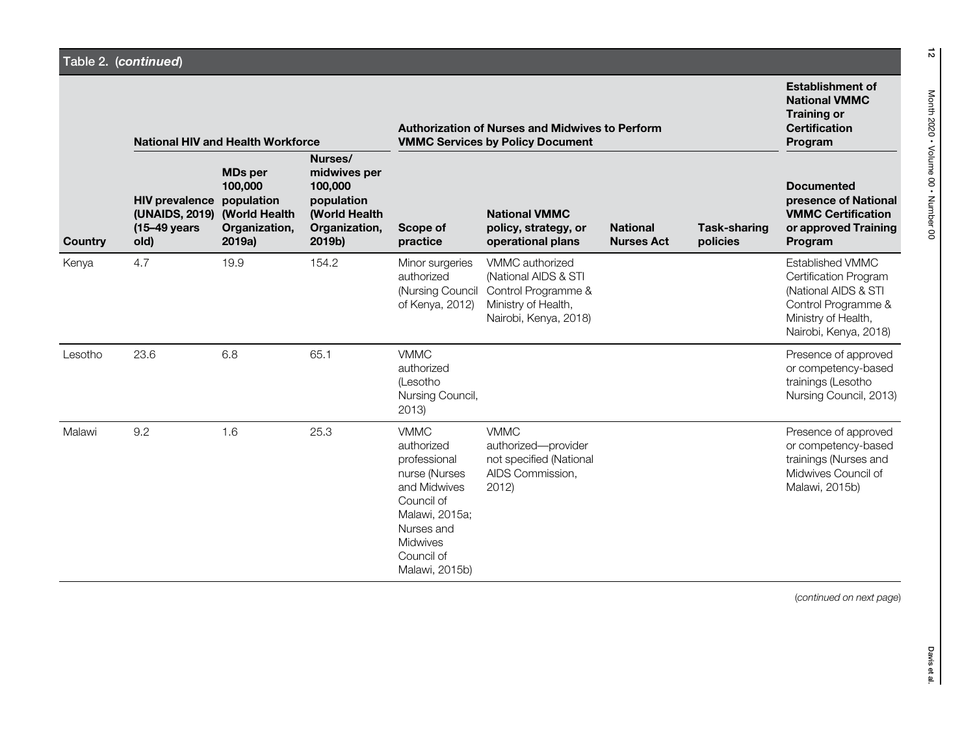|         |                                                                 | <b>National HIV and Health Workforce</b>                                                   |                                                                                              | <b>Authorization of Nurses and Midwives to Perform</b><br><b>VMMC Services by Policy Document</b>                                                                           | <b>Establishment of</b><br><b>National VMMC</b><br><b>Training or</b><br><b>Certification</b><br>Program       |                                      |                                 |                                                                                                                                                 |
|---------|-----------------------------------------------------------------|--------------------------------------------------------------------------------------------|----------------------------------------------------------------------------------------------|-----------------------------------------------------------------------------------------------------------------------------------------------------------------------------|----------------------------------------------------------------------------------------------------------------|--------------------------------------|---------------------------------|-------------------------------------------------------------------------------------------------------------------------------------------------|
| Country | <b>HIV prevalence</b><br>(UNAIDS, 2019)<br>(15-49 years<br>old) | <b>MDs</b> per<br>100,000<br>population<br><b>(World Health</b><br>Organization,<br>2019a) | Nurses/<br>midwives per<br>100,000<br>population<br>(World Health<br>Organization,<br>2019b) | Scope of<br>practice                                                                                                                                                        | <b>National VMMC</b><br>policy, strategy, or<br>operational plans                                              | <b>National</b><br><b>Nurses Act</b> | <b>Task-sharing</b><br>policies | <b>Documented</b><br>presence of National<br><b>VMMC Certification</b><br>or approved Training<br>Program                                       |
| Kenya   | 4.7                                                             | 19.9                                                                                       | 154.2                                                                                        | Minor surgeries<br>authorized<br>(Nursing Council<br>of Kenya, 2012)                                                                                                        | VMMC authorized<br>(National AIDS & STI<br>Control Programme &<br>Ministry of Health,<br>Nairobi, Kenya, 2018) |                                      |                                 | Established VMMC<br><b>Certification Program</b><br>(National AIDS & STI<br>Control Programme &<br>Ministry of Health,<br>Nairobi, Kenya, 2018) |
| Lesotho | 23.6                                                            | 6.8                                                                                        | 65.1                                                                                         | <b>VMMC</b><br>authorized<br>(Lesotho<br>Nursing Council,<br>2013)                                                                                                          |                                                                                                                |                                      |                                 | Presence of approved<br>or competency-based<br>trainings (Lesotho<br>Nursing Council, 2013)                                                     |
| Malawi  | 9.2                                                             | 1.6                                                                                        | 25.3                                                                                         | <b>VMMC</b><br>authorized<br>professional<br>nurse (Nurses<br>and Midwives<br>Council of<br>Malawi, 2015a;<br>Nurses and<br><b>Midwives</b><br>Council of<br>Malawi, 2015b) | <b>VMMC</b><br>authorized-provider<br>not specified (National<br>AIDS Commission,<br>2012                      |                                      |                                 | Presence of approved<br>or competency-based<br>trainings (Nurses and<br>Midwives Council of<br>Malawi, 2015b)                                   |

Month 2020 • Volume 00 • Number 00

(continued on next page)

 $\frac{1}{2}$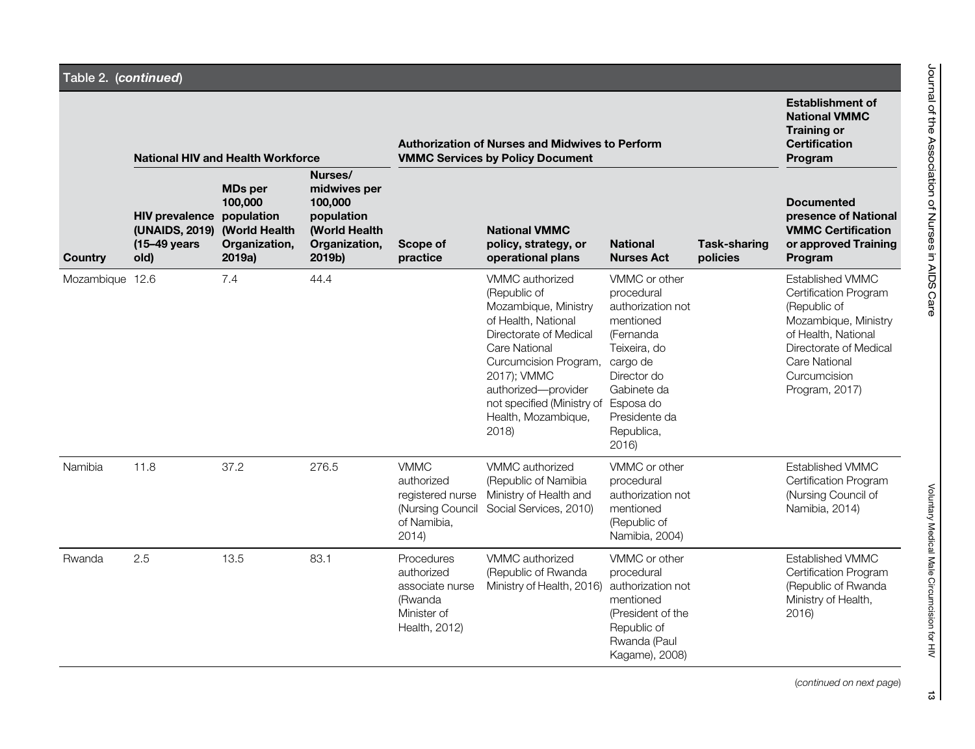|                 |                                                                            | <b>National HIV and Health Workforce</b>                                      |                                                                                                     |                                                                                           | <b>Authorization of Nurses and Midwives to Perform</b><br><b>VMMC Services by Policy Document</b>                                                                                                                                                                     |                                                                                                                                                                              |                                 |                                                                                                                                                                                              |  |  |
|-----------------|----------------------------------------------------------------------------|-------------------------------------------------------------------------------|-----------------------------------------------------------------------------------------------------|-------------------------------------------------------------------------------------------|-----------------------------------------------------------------------------------------------------------------------------------------------------------------------------------------------------------------------------------------------------------------------|------------------------------------------------------------------------------------------------------------------------------------------------------------------------------|---------------------------------|----------------------------------------------------------------------------------------------------------------------------------------------------------------------------------------------|--|--|
| <b>Country</b>  | <b>HIV prevalence population</b><br>(UNAIDS, 2019)<br>(15-49 years<br>old) | <b>MDs per</b><br>100,000<br><b>(World Health)</b><br>Organization,<br>2019a) | Nurses/<br>midwives per<br>100,000<br>population<br><b>(World Health</b><br>Organization,<br>2019b) | Scope of<br>practice                                                                      | <b>National VMMC</b><br>policy, strategy, or<br>operational plans                                                                                                                                                                                                     | <b>National</b><br><b>Nurses Act</b>                                                                                                                                         | <b>Task-sharing</b><br>policies | <b>Documented</b><br>presence of National<br><b>VMMC Certification</b><br>or approved Training<br>Program                                                                                    |  |  |
| Mozambique 12.6 |                                                                            | 7.4                                                                           | 44.4                                                                                                |                                                                                           | VMMC authorized<br>(Republic of<br>Mozambique, Ministry<br>of Health, National<br>Directorate of Medical<br><b>Care National</b><br>Curcumcision Program, cargo de<br>2017); VMMC<br>authorized-provider<br>not specified (Ministry of<br>Health, Mozambique,<br>2018 | VMMC or other<br>procedural<br>authorization not<br>mentioned<br>(Fernanda<br>Teixeira, do<br>Director do<br>Gabinete da<br>Esposa do<br>Presidente da<br>Republica,<br>2016 |                                 | Established VMMC<br>Certification Program<br>(Republic of<br>Mozambique, Ministry<br>of Health, National<br>Directorate of Medical<br><b>Care National</b><br>Curcumcision<br>Program, 2017) |  |  |
| Namibia         | 11.8                                                                       | 37.2                                                                          | 276.5                                                                                               | <b>VMMC</b><br>authorized<br>registered nurse<br>(Nursing Council<br>of Namibia,<br>2014) | VMMC authorized<br>(Republic of Namibia<br>Ministry of Health and<br>Social Services, 2010)                                                                                                                                                                           | VMMC or other<br>procedural<br>authorization not<br>mentioned<br>(Republic of<br>Namibia, 2004)                                                                              |                                 | <b>Established VMMC</b><br>Certification Program<br>(Nursing Council of<br>Namibia, 2014)                                                                                                    |  |  |
| Rwanda          | 2.5                                                                        | 13.5                                                                          | 83.1                                                                                                | Procedures<br>authorized<br>associate nurse<br>(Rwanda<br>Minister of<br>Health, 2012)    | VMMC authorized<br>(Republic of Rwanda<br>Ministry of Health, 2016)                                                                                                                                                                                                   | VMMC or other<br>procedural<br>authorization not<br>mentioned<br>(President of the<br>Republic of<br>Rwanda (Paul<br>Kagame), 2008)                                          |                                 | Established VMMC<br>Certification Program<br>(Republic of Rwanda<br>Ministry of Health,<br>2016                                                                                              |  |  |

(continued on next page)

Voluntary Medical Male Circumcision for HIV

Voluntary Medical Male Circumcision for HIV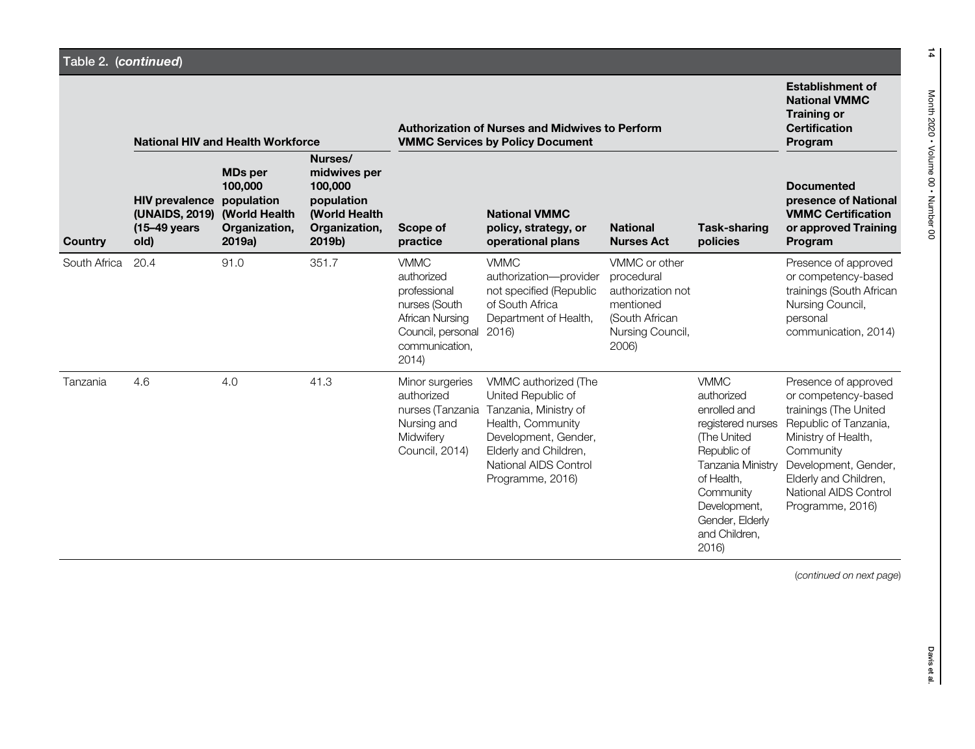|              | <b>National HIV and Health Workforce</b>                                         |                                                                    |                                                                                              | <b>Authorization of Nurses and Midwives to Perform</b><br><b>VMMC Services by Policy Document</b>                             | <b>Establishment of</b><br><b>National VMMC</b><br><b>Training or</b><br><b>Certification</b><br>Program                                                                               |                                                                                                              |                                                                                                                                                                                                                 |                                                                                                                                                                                                                                 |
|--------------|----------------------------------------------------------------------------------|--------------------------------------------------------------------|----------------------------------------------------------------------------------------------|-------------------------------------------------------------------------------------------------------------------------------|----------------------------------------------------------------------------------------------------------------------------------------------------------------------------------------|--------------------------------------------------------------------------------------------------------------|-----------------------------------------------------------------------------------------------------------------------------------------------------------------------------------------------------------------|---------------------------------------------------------------------------------------------------------------------------------------------------------------------------------------------------------------------------------|
| Country      | <b>HIV</b> prevalence<br>(UNAIDS, 2019) (World Health<br>$(15-49)$ years<br>old) | <b>MDs per</b><br>100,000<br>population<br>Organization,<br>2019a) | Nurses/<br>midwives per<br>100,000<br>population<br>(World Health<br>Organization,<br>2019b) | Scope of<br>practice                                                                                                          | <b>National VMMC</b><br>policy, strategy, or<br>operational plans                                                                                                                      | <b>National</b><br><b>Nurses Act</b>                                                                         | <b>Task-sharing</b><br>policies                                                                                                                                                                                 | <b>Documented</b><br>presence of National<br><b>VMMC Certification</b><br>or approved Training<br>Program                                                                                                                       |
| South Africa | 20.4                                                                             | 91.0                                                               | 351.7                                                                                        | <b>VMMC</b><br>authorized<br>professional<br>nurses (South<br>African Nursing<br>Council, personal<br>communication,<br>2014) | <b>VMMC</b><br>authorization-provider<br>not specified (Republic<br>of South Africa<br>Department of Health,<br>2016)                                                                  | VMMC or other<br>procedural<br>authorization not<br>mentioned<br>(South African<br>Nursing Council,<br>2006) |                                                                                                                                                                                                                 | Presence of approved<br>or competency-based<br>trainings (South African<br>Nursing Council,<br>personal<br>communication, 2014)                                                                                                 |
| Tanzania     | 4.6                                                                              | 4.0                                                                | 41.3                                                                                         | Minor surgeries<br>authorized<br>nurses (Tanzania<br>Nursing and<br>Midwifery<br>Council, 2014)                               | VMMC authorized (The<br>United Republic of<br>Tanzania, Ministry of<br>Health, Community<br>Development, Gender,<br>Elderly and Children,<br>National AIDS Control<br>Programme, 2016) |                                                                                                              | <b>VMMC</b><br>authorized<br>enrolled and<br>registered nurses<br><b>The United</b><br>Republic of<br>Tanzania Ministry<br>of Health,<br>Community<br>Development,<br>Gender, Elderly<br>and Children,<br>2016) | Presence of approved<br>or competency-based<br>trainings (The United<br>Republic of Tanzania,<br>Ministry of Health,<br>Community<br>Development, Gender,<br>Elderly and Children,<br>National AIDS Control<br>Programme, 2016) |

(continued on next page)

14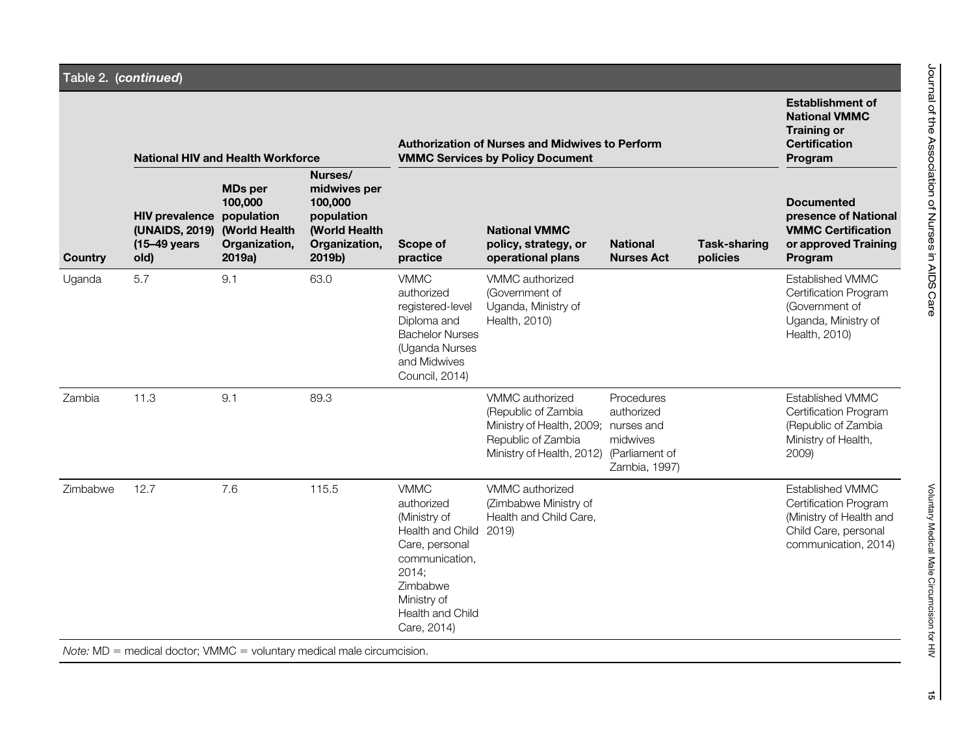# Table 2. (continued)

| Country  | <b>National HIV and Health Workforce</b>                        |                                                                                     |                                                                                              | <b>Authorization of Nurses and Midwives to Perform</b><br><b>VMMC Services by Policy Document</b>                                                                              | <b>Establishment of</b><br><b>National VMMC</b><br><b>Training or</b><br><b>Certification</b><br>Program                           |                                                                         |                                 |                                                                                                                      |
|----------|-----------------------------------------------------------------|-------------------------------------------------------------------------------------|----------------------------------------------------------------------------------------------|--------------------------------------------------------------------------------------------------------------------------------------------------------------------------------|------------------------------------------------------------------------------------------------------------------------------------|-------------------------------------------------------------------------|---------------------------------|----------------------------------------------------------------------------------------------------------------------|
|          | <b>HIV prevalence</b><br>(UNAIDS, 2019)<br>(15-49 years<br>old) | <b>MDs per</b><br>100,000<br>population<br>(World Health<br>Organization,<br>2019a) | Nurses/<br>midwives per<br>100,000<br>population<br>(World Health<br>Organization,<br>2019b) | Scope of<br>practice                                                                                                                                                           | <b>National VMMC</b><br>policy, strategy, or<br>operational plans                                                                  | <b>National</b><br><b>Nurses Act</b>                                    | <b>Task-sharing</b><br>policies | <b>Documented</b><br>presence of National<br><b>VMMC Certification</b><br>or approved Training<br>Program            |
| Uganda   | 5.7                                                             | 9.1                                                                                 | 63.0                                                                                         | <b>VMMC</b><br>authorized<br>registered-level<br>Diploma and<br><b>Bachelor Nurses</b><br>(Uganda Nurses<br>and Midwives<br>Council, 2014)                                     | VMMC authorized<br>(Government of<br>Uganda, Ministry of<br>Health, 2010)                                                          |                                                                         |                                 | <b>Established VMMC</b><br>Certification Program<br>(Government of<br>Uganda, Ministry of<br>Health, 2010)           |
| Zambia   | 11.3                                                            | 9.1                                                                                 | 89.3                                                                                         |                                                                                                                                                                                | VMMC authorized<br>(Republic of Zambia)<br>Ministry of Health, 2009; nurses and<br>Republic of Zambia<br>Ministry of Health, 2012) | Procedures<br>authorized<br>midwives<br>(Parliament of<br>Zambia, 1997) |                                 | Established VMMC<br>Certification Program<br>(Republic of Zambia<br>Ministry of Health,<br>2009)                     |
| Zimbabwe | 12.7                                                            | 7.6                                                                                 | 115.5                                                                                        | <b>VMMC</b><br>authorized<br>(Ministry of<br>Health and Child 2019)<br>Care, personal<br>communication,<br>2014;<br>Zimbabwe<br>Ministry of<br>Health and Child<br>Care, 2014) | VMMC authorized<br>(Zimbabwe Ministry of<br>Health and Child Care,                                                                 |                                                                         |                                 | Established VMMC<br>Certification Program<br>(Ministry of Health and<br>Child Care, personal<br>communication, 2014) |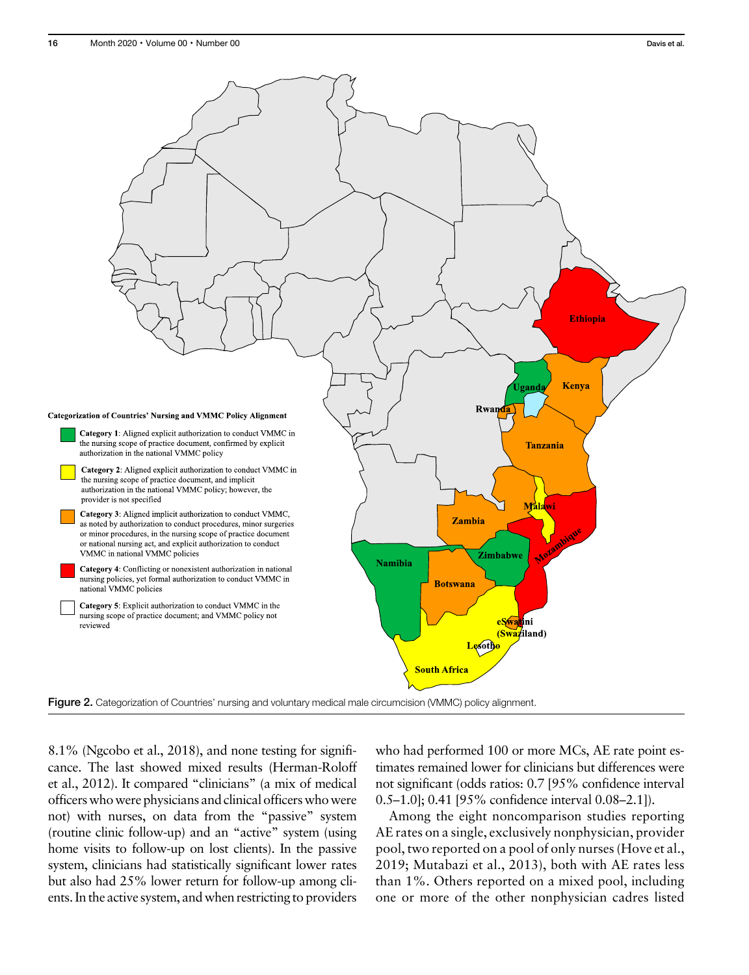

8.1% (Ngcobo et al., 2018), and none testing for significance. The last showed mixed results (Herman-Roloff et al., 2012). It compared "clinicians" (a mix of medical officers who were physicians and clinical officers who were not) with nurses, on data from the "passive" system (routine clinic follow-up) and an "active" system (using home visits to follow-up on lost clients). In the passive system, clinicians had statistically significant lower rates but also had 25% lower return for follow-up among clients. In the active system, and when restricting to providers

who had performed 100 or more MCs, AE rate point estimates remained lower for clinicians but differences were not significant (odds ratios: 0.7 [95% confidence interval 0.5–1.0]; 0.41 [95% confidence interval 0.08–2.1]).

Among the eight noncomparison studies reporting AE rates on a single, exclusively nonphysician, provider pool, two reported on a pool of only nurses (Hove et al., 2019; Mutabazi et al., 2013), both with AE rates less than 1%. Others reported on a mixed pool, including one or more of the other nonphysician cadres listed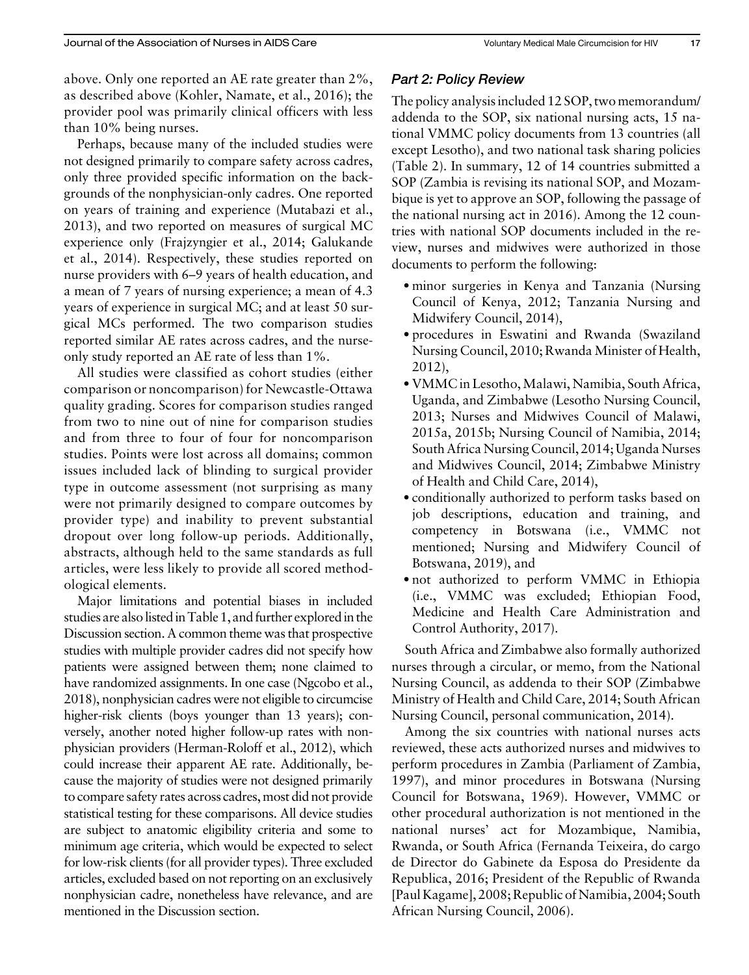above. Only one reported an AE rate greater than 2%, as described above (Kohler, Namate, et al., 2016); the provider pool was primarily clinical officers with less than 10% being nurses.

Perhaps, because many of the included studies were not designed primarily to compare safety across cadres, only three provided specific information on the backgrounds of the nonphysician-only cadres. One reported on years of training and experience (Mutabazi et al., 2013), and two reported on measures of surgical MC experience only (Frajzyngier et al., 2014; Galukande et al., 2014). Respectively, these studies reported on nurse providers with 6–9 years of health education, and a mean of 7 years of nursing experience; a mean of 4.3 years of experience in surgical MC; and at least 50 surgical MCs performed. The two comparison studies reported similar AE rates across cadres, and the nurseonly study reported an AE rate of less than 1%.

All studies were classified as cohort studies (either comparison or noncomparison) for Newcastle-Ottawa quality grading. Scores for comparison studies ranged from two to nine out of nine for comparison studies and from three to four of four for noncomparison studies. Points were lost across all domains; common issues included lack of blinding to surgical provider type in outcome assessment (not surprising as many were not primarily designed to compare outcomes by provider type) and inability to prevent substantial dropout over long follow-up periods. Additionally, abstracts, although held to the same standards as full articles, were less likely to provide all scored methodological elements.

Major limitations and potential biases in included studies are also listed in Table 1, and further exploredin the Discussion section. A common theme was that prospective studies with multiple provider cadres did not specify how patients were assigned between them; none claimed to have randomized assignments. In one case (Ngcobo et al., 2018), nonphysician cadres were not eligible to circumcise higher-risk clients (boys younger than 13 years); conversely, another noted higher follow-up rates with nonphysician providers (Herman-Roloff et al., 2012), which could increase their apparent AE rate. Additionally, because the majority of studies were not designed primarily to compare safety rates across cadres, most did not provide statistical testing for these comparisons. All device studies are subject to anatomic eligibility criteria and some to minimum age criteria, which would be expected to select for low-risk clients (for all provider types). Three excluded articles, excluded based on not reporting on an exclusively nonphysician cadre, nonetheless have relevance, and are mentioned in the Discussion section.

# Part 2: Policy Review

The policy analysis included 12 SOP, two memorandum/ addenda to the SOP, six national nursing acts, 15 national VMMC policy documents from 13 countries (all except Lesotho), and two national task sharing policies (Table 2). In summary, 12 of 14 countries submitted a SOP (Zambia is revising its national SOP, and Mozambique is yet to approve an SOP, following the passage of the national nursing act in 2016). Among the 12 countries with national SOP documents included in the review, nurses and midwives were authorized in those documents to perform the following:

- minor surgeries in Kenya and Tanzania (Nursing) Council of Kenya, 2012; Tanzania Nursing and Midwifery Council, 2014),
- ·procedures in Eswatini and Rwanda (Swaziland Nursing Council, 2010; Rwanda Minister of Health, 2012),
- ·VMMC in Lesotho,Malawi, Namibia, South Africa, Uganda, and Zimbabwe (Lesotho Nursing Council, 2013; Nurses and Midwives Council of Malawi, 2015a, 2015b; Nursing Council of Namibia, 2014; South Africa Nursing Council, 2014; Uganda Nurses and Midwives Council, 2014; Zimbabwe Ministry of Health and Child Care, 2014),
- ·conditionally authorized to perform tasks based on job descriptions, education and training, and competency in Botswana (i.e., VMMC not mentioned; Nursing and Midwifery Council of Botswana, 2019), and
- ·not authorized to perform VMMC in Ethiopia (i.e., VMMC was excluded; Ethiopian Food, Medicine and Health Care Administration and Control Authority, 2017).

South Africa and Zimbabwe also formally authorized nurses through a circular, or memo, from the National Nursing Council, as addenda to their SOP (Zimbabwe Ministry of Health and Child Care, 2014; South African Nursing Council, personal communication, 2014).

Among the six countries with national nurses acts reviewed, these acts authorized nurses and midwives to perform procedures in Zambia (Parliament of Zambia, 1997), and minor procedures in Botswana (Nursing Council for Botswana, 1969). However, VMMC or other procedural authorization is not mentioned in the national nurses' act for Mozambique, Namibia, Rwanda, or South Africa (Fernanda Teixeira, do cargo de Director do Gabinete da Esposa do Presidente da Republica, 2016; President of the Republic of Rwanda [Paul Kagame], 2008; Republic of Namibia, 2004; South African Nursing Council, 2006).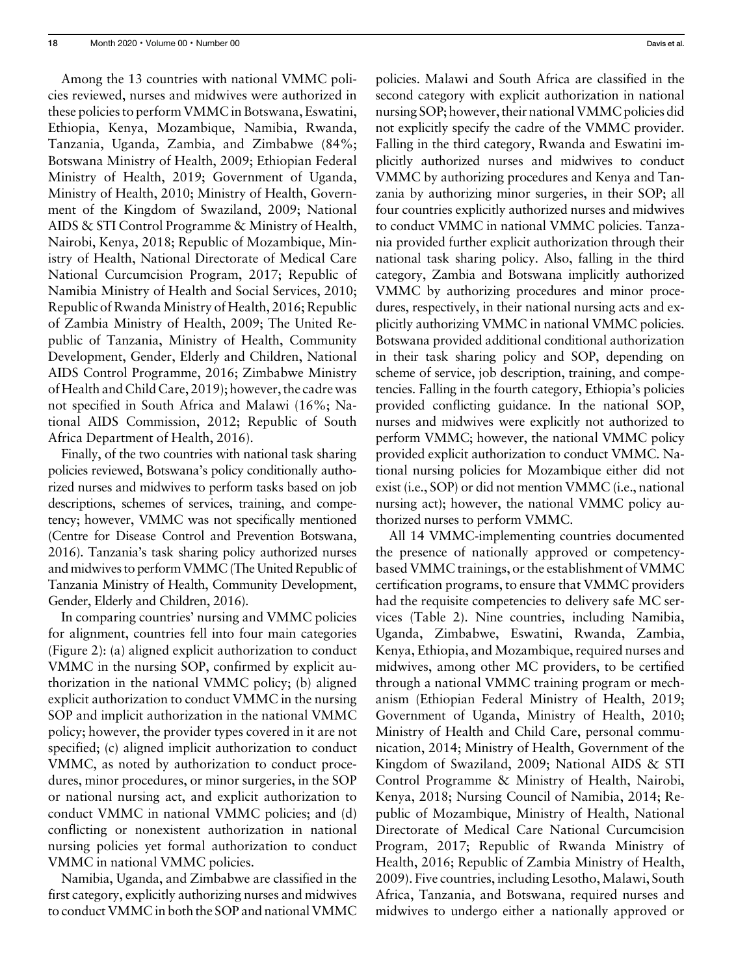Among the 13 countries with national VMMC policies reviewed, nurses and midwives were authorized in these policies to perform VMMC in Botswana, Eswatini, Ethiopia, Kenya, Mozambique, Namibia, Rwanda, Tanzania, Uganda, Zambia, and Zimbabwe (84%; Botswana Ministry of Health, 2009; Ethiopian Federal Ministry of Health, 2019; Government of Uganda, Ministry of Health, 2010; Ministry of Health, Government of the Kingdom of Swaziland, 2009; National AIDS & STI Control Programme & Ministry of Health, Nairobi, Kenya, 2018; Republic of Mozambique, Ministry of Health, National Directorate of Medical Care National Curcumcision Program, 2017; Republic of Namibia Ministry of Health and Social Services, 2010; Republic of Rwanda Ministry of Health, 2016; Republic of Zambia Ministry of Health, 2009; The United Republic of Tanzania, Ministry of Health, Community Development, Gender, Elderly and Children, National AIDS Control Programme, 2016; Zimbabwe Ministry of Health and Child Care, 2019); however, the cadre was not specified in South Africa and Malawi (16%; National AIDS Commission, 2012; Republic of South Africa Department of Health, 2016).

Finally, of the two countries with national task sharing policies reviewed, Botswana's policy conditionally authorized nurses and midwives to perform tasks based on job descriptions, schemes of services, training, and competency; however, VMMC was not specifically mentioned (Centre for Disease Control and Prevention Botswana, 2016). Tanzania's task sharing policy authorized nurses and midwives to perform VMMC (The United Republic of Tanzania Ministry of Health, Community Development, Gender, Elderly and Children, 2016).

In comparing countries' nursing and VMMC policies for alignment, countries fell into four main categories (Figure 2): (a) aligned explicit authorization to conduct VMMC in the nursing SOP, confirmed by explicit authorization in the national VMMC policy; (b) aligned explicit authorization to conduct VMMC in the nursing SOP and implicit authorization in the national VMMC policy; however, the provider types covered in it are not specified; (c) aligned implicit authorization to conduct VMMC, as noted by authorization to conduct procedures, minor procedures, or minor surgeries, in the SOP or national nursing act, and explicit authorization to conduct VMMC in national VMMC policies; and (d) conflicting or nonexistent authorization in national nursing policies yet formal authorization to conduct VMMC in national VMMC policies.

Namibia, Uganda, and Zimbabwe are classified in the first category, explicitly authorizing nurses and midwives to conduct VMMC in both the SOP and national VMMC policies. Malawi and South Africa are classified in the second category with explicit authorization in national nursing SOP; however, their national VMMC policies did not explicitly specify the cadre of the VMMC provider. Falling in the third category, Rwanda and Eswatini implicitly authorized nurses and midwives to conduct VMMC by authorizing procedures and Kenya and Tanzania by authorizing minor surgeries, in their SOP; all four countries explicitly authorized nurses and midwives to conduct VMMC in national VMMC policies. Tanzania provided further explicit authorization through their national task sharing policy. Also, falling in the third category, Zambia and Botswana implicitly authorized VMMC by authorizing procedures and minor procedures, respectively, in their national nursing acts and explicitly authorizing VMMC in national VMMC policies. Botswana provided additional conditional authorization in their task sharing policy and SOP, depending on scheme of service, job description, training, and competencies. Falling in the fourth category, Ethiopia's policies provided conflicting guidance. In the national SOP, nurses and midwives were explicitly not authorized to perform VMMC; however, the national VMMC policy provided explicit authorization to conduct VMMC. National nursing policies for Mozambique either did not exist (i.e., SOP) or did not mention VMMC (i.e., national nursing act); however, the national VMMC policy authorized nurses to perform VMMC.

All 14 VMMC-implementing countries documented the presence of nationally approved or competencybased VMMC trainings, or the establishment of VMMC certification programs, to ensure that VMMC providers had the requisite competencies to delivery safe MC services (Table 2). Nine countries, including Namibia, Uganda, Zimbabwe, Eswatini, Rwanda, Zambia, Kenya, Ethiopia, and Mozambique, required nurses and midwives, among other MC providers, to be certified through a national VMMC training program or mechanism (Ethiopian Federal Ministry of Health, 2019; Government of Uganda, Ministry of Health, 2010; Ministry of Health and Child Care, personal communication, 2014; Ministry of Health, Government of the Kingdom of Swaziland, 2009; National AIDS & STI Control Programme & Ministry of Health, Nairobi, Kenya, 2018; Nursing Council of Namibia, 2014; Republic of Mozambique, Ministry of Health, National Directorate of Medical Care National Curcumcision Program, 2017; Republic of Rwanda Ministry of Health, 2016; Republic of Zambia Ministry of Health, 2009). Five countries, including Lesotho, Malawi, South Africa, Tanzania, and Botswana, required nurses and midwives to undergo either a nationally approved or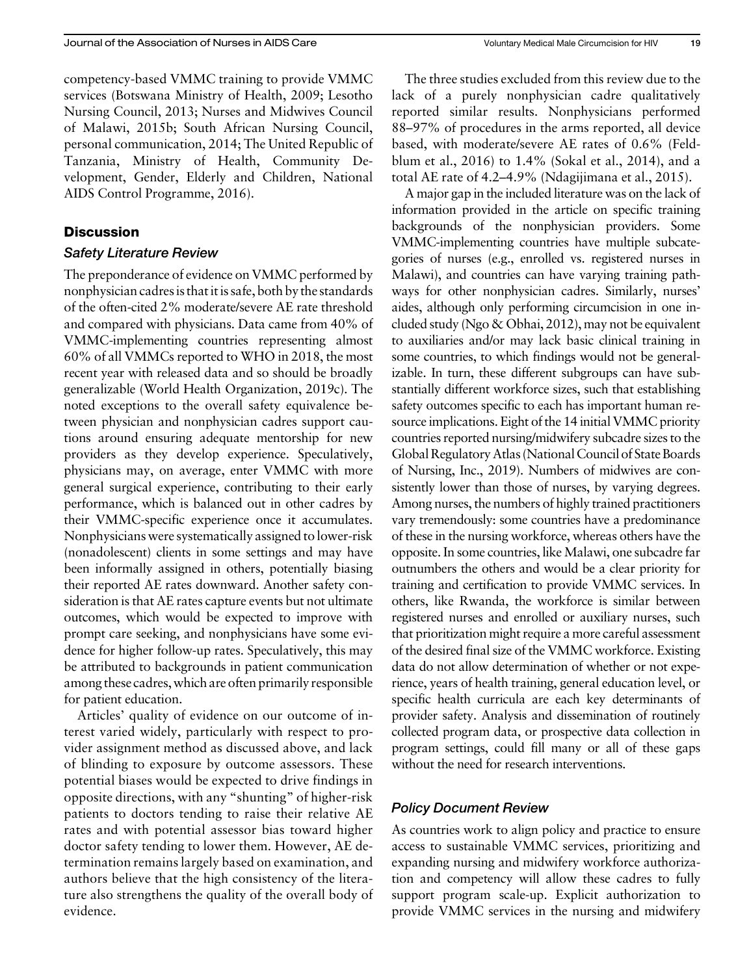competency-based VMMC training to provide VMMC services (Botswana Ministry of Health, 2009; Lesotho Nursing Council, 2013; Nurses and Midwives Council of Malawi, 2015b; South African Nursing Council, personal communication, 2014; The United Republic of Tanzania, Ministry of Health, Community Development, Gender, Elderly and Children, National AIDS Control Programme, 2016).

### **Discussion**

#### Safety Literature Review

The preponderance of evidence on VMMC performed by nonphysician cadres is that it is safe, both by the standards of the often-cited 2% moderate/severe AE rate threshold and compared with physicians. Data came from 40% of VMMC-implementing countries representing almost 60% of all VMMCs reported to WHO in 2018, the most recent year with released data and so should be broadly generalizable (World Health Organization, 2019c). The noted exceptions to the overall safety equivalence between physician and nonphysician cadres support cautions around ensuring adequate mentorship for new providers as they develop experience. Speculatively, physicians may, on average, enter VMMC with more general surgical experience, contributing to their early performance, which is balanced out in other cadres by their VMMC-specific experience once it accumulates. Nonphysicians were systematically assigned to lower-risk (nonadolescent) clients in some settings and may have been informally assigned in others, potentially biasing their reported AE rates downward. Another safety consideration is that AE rates capture events but not ultimate outcomes, which would be expected to improve with prompt care seeking, and nonphysicians have some evidence for higher follow-up rates. Speculatively, this may be attributed to backgrounds in patient communication among these cadres, which are often primarily responsible for patient education.

Articles' quality of evidence on our outcome of interest varied widely, particularly with respect to provider assignment method as discussed above, and lack of blinding to exposure by outcome assessors. These potential biases would be expected to drive findings in opposite directions, with any "shunting" of higher-risk patients to doctors tending to raise their relative AE rates and with potential assessor bias toward higher doctor safety tending to lower them. However, AE determination remains largely based on examination, and authors believe that the high consistency of the literature also strengthens the quality of the overall body of evidence.

The three studies excluded from this review due to the lack of a purely nonphysician cadre qualitatively reported similar results. Nonphysicians performed 88–97% of procedures in the arms reported, all device based, with moderate/severe AE rates of 0.6% (Feldblum et al., 2016) to 1.4% (Sokal et al., 2014), and a total AE rate of 4.2–4.9% (Ndagijimana et al., 2015).

A major gap in the included literature was on the lack of information provided in the article on specific training backgrounds of the nonphysician providers. Some VMMC-implementing countries have multiple subcategories of nurses (e.g., enrolled vs. registered nurses in Malawi), and countries can have varying training pathways for other nonphysician cadres. Similarly, nurses' aides, although only performing circumcision in one included study (Ngo & Obhai, 2012), may not be equivalent to auxiliaries and/or may lack basic clinical training in some countries, to which findings would not be generalizable. In turn, these different subgroups can have substantially different workforce sizes, such that establishing safety outcomes specific to each has important human resource implications. Eight of the 14 initial VMMC priority countries reported nursing/midwifery subcadre sizes to the Global Regulatory Atlas (National Council of State Boards of Nursing, Inc., 2019). Numbers of midwives are consistently lower than those of nurses, by varying degrees. Among nurses, the numbers of highly trained practitioners vary tremendously: some countries have a predominance of these in the nursing workforce, whereas others have the opposite. In some countries, like Malawi, one subcadre far outnumbers the others and would be a clear priority for training and certification to provide VMMC services. In others, like Rwanda, the workforce is similar between registered nurses and enrolled or auxiliary nurses, such that prioritization might require a more careful assessment of the desired final size of the VMMC workforce. Existing data do not allow determination of whether or not experience, years of health training, general education level, or specific health curricula are each key determinants of provider safety. Analysis and dissemination of routinely collected program data, or prospective data collection in program settings, could fill many or all of these gaps without the need for research interventions.

#### Policy Document Review

As countries work to align policy and practice to ensure access to sustainable VMMC services, prioritizing and expanding nursing and midwifery workforce authorization and competency will allow these cadres to fully support program scale-up. Explicit authorization to provide VMMC services in the nursing and midwifery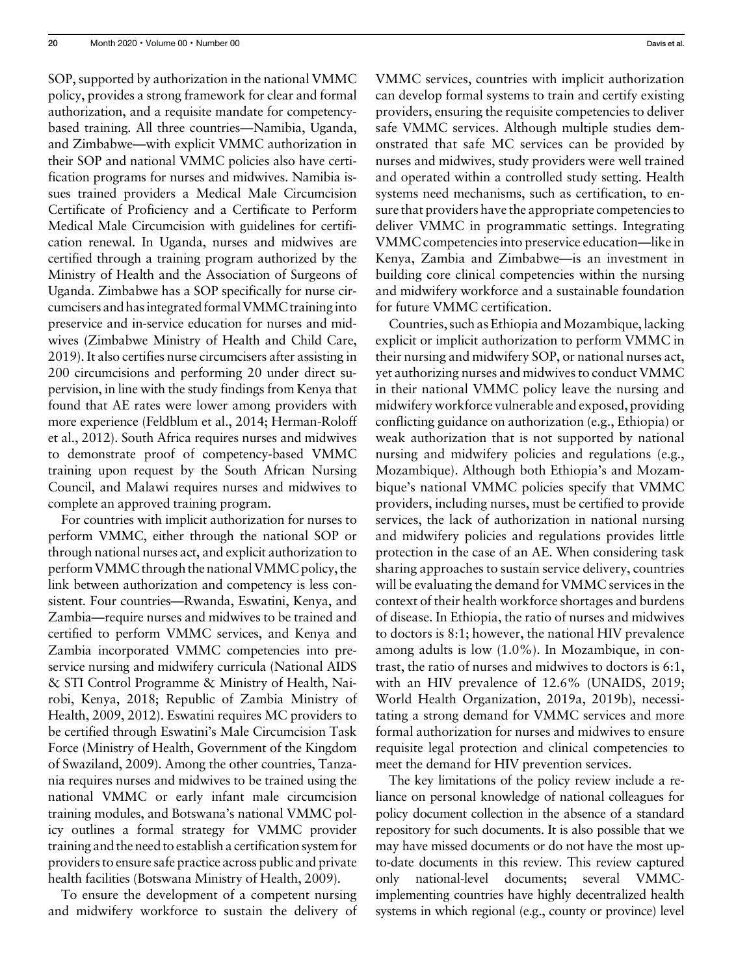SOP, supported by authorization in the national VMMC policy, provides a strong framework for clear and formal authorization, and a requisite mandate for competencybased training. All three countries—Namibia, Uganda, and Zimbabwe—with explicit VMMC authorization in their SOP and national VMMC policies also have certification programs for nurses and midwives. Namibia issues trained providers a Medical Male Circumcision Certificate of Proficiency and a Certificate to Perform Medical Male Circumcision with guidelines for certification renewal. In Uganda, nurses and midwives are certified through a training program authorized by the Ministry of Health and the Association of Surgeons of Uganda. Zimbabwe has a SOP specifically for nurse circumcisers and has integrated formal VMMC traininginto preservice and in-service education for nurses and midwives (Zimbabwe Ministry of Health and Child Care, 2019). It also certifies nurse circumcisers after assisting in 200 circumcisions and performing 20 under direct supervision, in line with the study findings from Kenya that found that AE rates were lower among providers with more experience (Feldblum et al., 2014; Herman-Roloff et al., 2012). South Africa requires nurses and midwives to demonstrate proof of competency-based VMMC training upon request by the South African Nursing Council, and Malawi requires nurses and midwives to complete an approved training program.

For countries with implicit authorization for nurses to perform VMMC, either through the national SOP or through national nurses act, and explicit authorization to perform VMMC through the national VMMC policy, the link between authorization and competency is less consistent. Four countries—Rwanda, Eswatini, Kenya, and Zambia—require nurses and midwives to be trained and certified to perform VMMC services, and Kenya and Zambia incorporated VMMC competencies into preservice nursing and midwifery curricula (National AIDS & STI Control Programme & Ministry of Health, Nairobi, Kenya, 2018; Republic of Zambia Ministry of Health, 2009, 2012). Eswatini requires MC providers to be certified through Eswatini's Male Circumcision Task Force (Ministry of Health, Government of the Kingdom of Swaziland, 2009). Among the other countries, Tanzania requires nurses and midwives to be trained using the national VMMC or early infant male circumcision training modules, and Botswana's national VMMC policy outlines a formal strategy for VMMC provider training and the need to establish a certification system for providers to ensure safe practice across public and private health facilities (Botswana Ministry of Health, 2009).

To ensure the development of a competent nursing and midwifery workforce to sustain the delivery of VMMC services, countries with implicit authorization can develop formal systems to train and certify existing providers, ensuring the requisite competencies to deliver safe VMMC services. Although multiple studies demonstrated that safe MC services can be provided by nurses and midwives, study providers were well trained and operated within a controlled study setting. Health systems need mechanisms, such as certification, to ensure that providers have the appropriate competencies to deliver VMMC in programmatic settings. Integrating VMMC competencies into preservice education—like in Kenya, Zambia and Zimbabwe—is an investment in building core clinical competencies within the nursing and midwifery workforce and a sustainable foundation for future VMMC certification.

Countries, such as Ethiopia and Mozambique, lacking explicit or implicit authorization to perform VMMC in their nursing and midwifery SOP, or national nurses act, yet authorizing nurses and midwives to conduct VMMC in their national VMMC policy leave the nursing and midwifery workforce vulnerable and exposed, providing conflicting guidance on authorization (e.g., Ethiopia) or weak authorization that is not supported by national nursing and midwifery policies and regulations (e.g., Mozambique). Although both Ethiopia's and Mozambique's national VMMC policies specify that VMMC providers, including nurses, must be certified to provide services, the lack of authorization in national nursing and midwifery policies and regulations provides little protection in the case of an AE. When considering task sharing approaches to sustain service delivery, countries will be evaluating the demand for VMMC services in the context of their health workforce shortages and burdens of disease. In Ethiopia, the ratio of nurses and midwives to doctors is 8:1; however, the national HIV prevalence among adults is low (1.0%). In Mozambique, in contrast, the ratio of nurses and midwives to doctors is 6:1, with an HIV prevalence of 12.6% (UNAIDS, 2019; World Health Organization, 2019a, 2019b), necessitating a strong demand for VMMC services and more formal authorization for nurses and midwives to ensure requisite legal protection and clinical competencies to meet the demand for HIV prevention services.

The key limitations of the policy review include a reliance on personal knowledge of national colleagues for policy document collection in the absence of a standard repository for such documents. It is also possible that we may have missed documents or do not have the most upto-date documents in this review. This review captured only national-level documents; several VMMCimplementing countries have highly decentralized health systems in which regional (e.g., county or province) level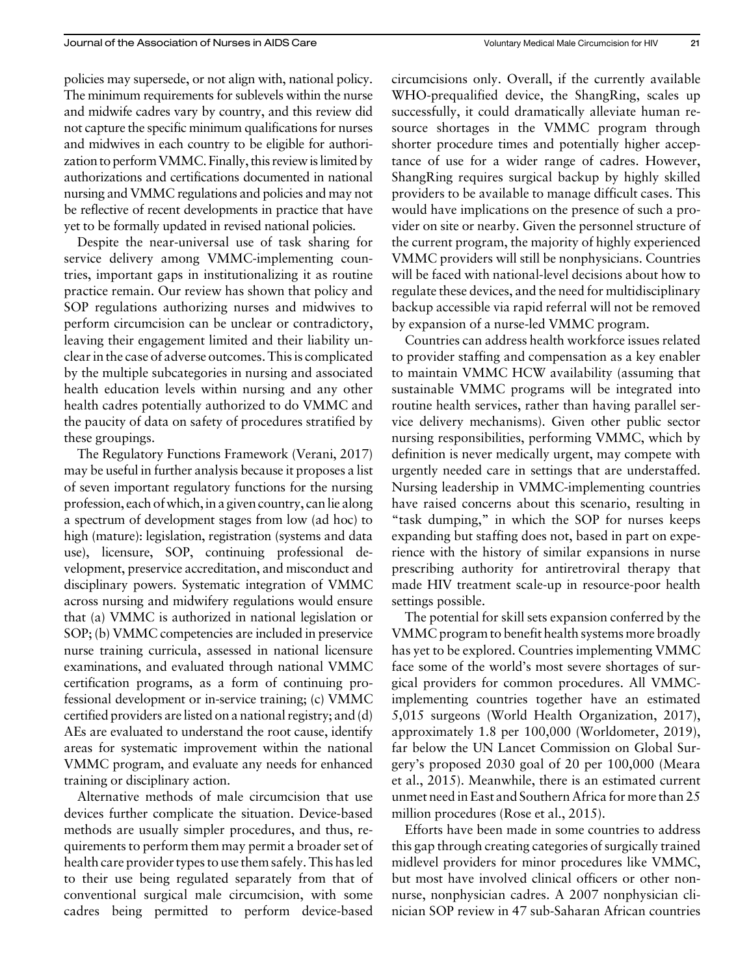policies may supersede, or not align with, national policy. The minimum requirements for sublevels within the nurse and midwife cadres vary by country, and this review did not capture the specific minimum qualifications for nurses and midwives in each country to be eligible for authorization to perform VMMC. Finally, this review is limited by authorizations and certifications documented in national nursing and VMMC regulations and policies and may not be reflective of recent developments in practice that have yet to be formally updated in revised national policies.

Despite the near-universal use of task sharing for service delivery among VMMC-implementing countries, important gaps in institutionalizing it as routine practice remain. Our review has shown that policy and SOP regulations authorizing nurses and midwives to perform circumcision can be unclear or contradictory, leaving their engagement limited and their liability unclear in the case of adverse outcomes. This is complicated by the multiple subcategories in nursing and associated health education levels within nursing and any other health cadres potentially authorized to do VMMC and the paucity of data on safety of procedures stratified by these groupings.

The Regulatory Functions Framework (Verani, 2017) may be useful in further analysis because it proposes a list of seven important regulatory functions for the nursing profession, each of which, in a given country, can lie along a spectrum of development stages from low (ad hoc) to high (mature): legislation, registration (systems and data use), licensure, SOP, continuing professional development, preservice accreditation, and misconduct and disciplinary powers. Systematic integration of VMMC across nursing and midwifery regulations would ensure that (a) VMMC is authorized in national legislation or SOP; (b) VMMC competencies are included in preservice nurse training curricula, assessed in national licensure examinations, and evaluated through national VMMC certification programs, as a form of continuing professional development or in-service training; (c) VMMC certified providers are listed on a national registry; and (d) AEs are evaluated to understand the root cause, identify areas for systematic improvement within the national VMMC program, and evaluate any needs for enhanced training or disciplinary action.

Alternative methods of male circumcision that use devices further complicate the situation. Device-based methods are usually simpler procedures, and thus, requirements to perform them may permit a broader set of health care provider types to use them safely. This has led to their use being regulated separately from that of conventional surgical male circumcision, with some cadres being permitted to perform device-based circumcisions only. Overall, if the currently available WHO-prequalified device, the ShangRing, scales up successfully, it could dramatically alleviate human resource shortages in the VMMC program through shorter procedure times and potentially higher acceptance of use for a wider range of cadres. However, ShangRing requires surgical backup by highly skilled providers to be available to manage difficult cases. This would have implications on the presence of such a provider on site or nearby. Given the personnel structure of the current program, the majority of highly experienced VMMC providers will still be nonphysicians. Countries will be faced with national-level decisions about how to regulate these devices, and the need for multidisciplinary backup accessible via rapid referral will not be removed by expansion of a nurse-led VMMC program.

Countries can address health workforce issues related to provider staffing and compensation as a key enabler to maintain VMMC HCW availability (assuming that sustainable VMMC programs will be integrated into routine health services, rather than having parallel service delivery mechanisms). Given other public sector nursing responsibilities, performing VMMC, which by definition is never medically urgent, may compete with urgently needed care in settings that are understaffed. Nursing leadership in VMMC-implementing countries have raised concerns about this scenario, resulting in "task dumping," in which the SOP for nurses keeps expanding but staffing does not, based in part on experience with the history of similar expansions in nurse prescribing authority for antiretroviral therapy that made HIV treatment scale-up in resource-poor health settings possible.

The potential for skill sets expansion conferred by the VMMC program to benefit health systems more broadly has yet to be explored. Countries implementing VMMC face some of the world's most severe shortages of surgical providers for common procedures. All VMMCimplementing countries together have an estimated 5,015 surgeons (World Health Organization, 2017), approximately 1.8 per 100,000 (Worldometer, 2019), far below the UN Lancet Commission on Global Surgery's proposed 2030 goal of 20 per 100,000 (Meara et al., 2015). Meanwhile, there is an estimated current unmet need in East and Southern Africa for more than 25 million procedures (Rose et al., 2015).

Efforts have been made in some countries to address this gap through creating categories of surgically trained midlevel providers for minor procedures like VMMC, but most have involved clinical officers or other nonnurse, nonphysician cadres. A 2007 nonphysician clinician SOP review in 47 sub-Saharan African countries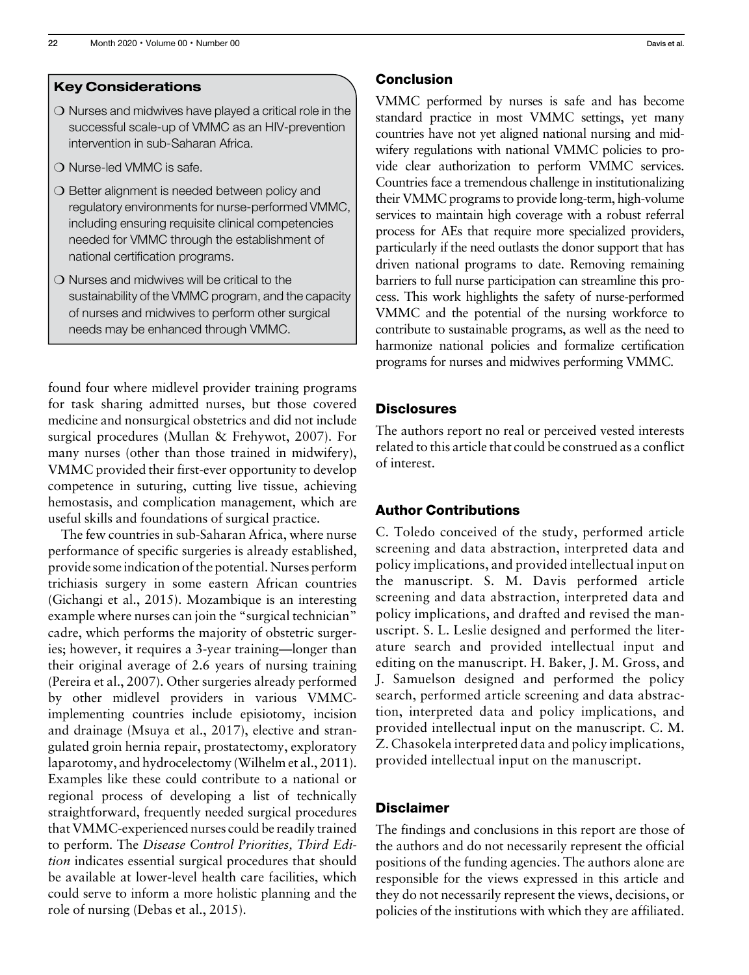#### Key Considerations

- $\bigcirc$  Nurses and midwives have played a critical role in the successful scale-up of VMMC as an HIV-prevention intervention in sub-Saharan Africa.
- O Nurse-led VMMC is safe.
- $\bigcirc$  Better alignment is needed between policy and regulatory environments for nurse-performed VMMC, including ensuring requisite clinical competencies needed for VMMC through the establishment of national certification programs.
- $\bigcirc$  Nurses and midwives will be critical to the sustainability of the VMMC program, and the capacity of nurses and midwives to perform other surgical needs may be enhanced through VMMC.

found four where midlevel provider training programs for task sharing admitted nurses, but those covered medicine and nonsurgical obstetrics and did not include surgical procedures (Mullan & Frehywot, 2007). For many nurses (other than those trained in midwifery), VMMC provided their first-ever opportunity to develop competence in suturing, cutting live tissue, achieving hemostasis, and complication management, which are useful skills and foundations of surgical practice.

The few countries in sub-Saharan Africa, where nurse performance of specific surgeries is already established, provide some indication of the potential. Nurses perform trichiasis surgery in some eastern African countries (Gichangi et al., 2015). Mozambique is an interesting example where nurses can join the "surgical technician" cadre, which performs the majority of obstetric surgeries; however, it requires a 3-year training—longer than their original average of 2.6 years of nursing training (Pereira et al., 2007). Other surgeries already performed by other midlevel providers in various VMMCimplementing countries include episiotomy, incision and drainage (Msuya et al., 2017), elective and strangulated groin hernia repair, prostatectomy, exploratory laparotomy, and hydrocelectomy (Wilhelm et al., 2011). Examples like these could contribute to a national or regional process of developing a list of technically straightforward, frequently needed surgical procedures that VMMC-experienced nurses could be readily trained to perform. The Disease Control Priorities, Third Edition indicates essential surgical procedures that should be available at lower-level health care facilities, which could serve to inform a more holistic planning and the role of nursing (Debas et al., 2015).

#### Conclusion

VMMC performed by nurses is safe and has become standard practice in most VMMC settings, yet many countries have not yet aligned national nursing and midwifery regulations with national VMMC policies to provide clear authorization to perform VMMC services. Countries face a tremendous challenge in institutionalizing their VMMC programs to provide long-term, high-volume services to maintain high coverage with a robust referral process for AEs that require more specialized providers, particularly if the need outlasts the donor support that has driven national programs to date. Removing remaining barriers to full nurse participation can streamline this process. This work highlights the safety of nurse-performed VMMC and the potential of the nursing workforce to contribute to sustainable programs, as well as the need to harmonize national policies and formalize certification programs for nurses and midwives performing VMMC.

#### **Disclosures**

The authors report no real or perceived vested interests related to this article that could be construed as a conflict of interest.

#### Author Contributions

C. Toledo conceived of the study, performed article screening and data abstraction, interpreted data and policy implications, and provided intellectual input on the manuscript. S. M. Davis performed article screening and data abstraction, interpreted data and policy implications, and drafted and revised the manuscript. S. L. Leslie designed and performed the literature search and provided intellectual input and editing on the manuscript. H. Baker, J. M. Gross, and J. Samuelson designed and performed the policy search, performed article screening and data abstraction, interpreted data and policy implications, and provided intellectual input on the manuscript. C. M. Z. Chasokela interpreted data and policy implications, provided intellectual input on the manuscript.

## **Disclaimer**

The findings and conclusions in this report are those of the authors and do not necessarily represent the official positions of the funding agencies. The authors alone are responsible for the views expressed in this article and they do not necessarily represent the views, decisions, or policies of the institutions with which they are affiliated.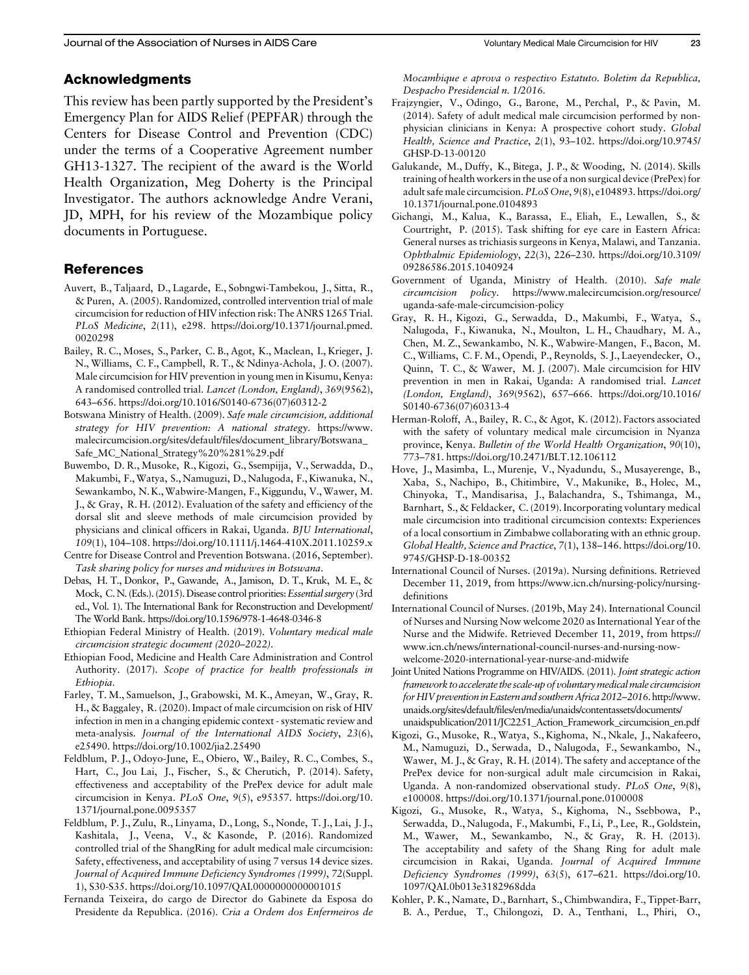#### Acknowledgments

This review has been partly supported by the President's Emergency Plan for AIDS Relief (PEPFAR) through the Centers for Disease Control and Prevention (CDC) under the terms of a Cooperative Agreement number GH13-1327. The recipient of the award is the World Health Organization, Meg Doherty is the Principal Investigator. The authors acknowledge Andre Verani, JD, MPH, for his review of the Mozambique policy documents in Portuguese.

#### References

- Auvert, B., Taljaard, D., Lagarde, E., Sobngwi-Tambekou, J., Sitta, R., & Puren, A. (2005). Randomized, controlled intervention trial of male circumcision for reduction of HIV infection risk: The ANRS 1265 Trial. PLoS Medicine, 2(11), e298. [https://doi.org/10.1371/journal.pmed.](https://doi.org/10.1371/journal.pmed.0020298) [0020298](https://doi.org/10.1371/journal.pmed.0020298)
- Bailey, R. C., Moses, S., Parker, C. B., Agot, K., Maclean, I., Krieger, J. N., Williams, C. F., Campbell, R. T., & Ndinya-Achola, J. O. (2007). Male circumcision for HIV prevention in young men in Kisumu, Kenya: A randomised controlled trial. Lancet (London, England), 369(9562), 643–656. [https://doi.org/10.1016/S0140-6736\(07\)60312-2](https://doi.org/10.1016/S0140-6736(07)60312-2)
- Botswana Ministry of Health. (2009). Safe male circumcision, additional strategy for HIV prevention: A national strategy. [https://www.](https://www.malecircumcision.org/sites/default/files/document_library/Botswana_Safe_MC_National_Strategy%20%281%29.pdf) [malecircumcision.org/sites/default/files/document\\_library/Botswana\\_](https://www.malecircumcision.org/sites/default/files/document_library/Botswana_Safe_MC_National_Strategy%20%281%29.pdf) [Safe\\_MC\\_National\\_Strategy%20%281%29.pdf](https://www.malecircumcision.org/sites/default/files/document_library/Botswana_Safe_MC_National_Strategy%20%281%29.pdf)
- Buwembo, D. R., Musoke, R., Kigozi, G., Ssempijja, V., Serwadda, D., Makumbi, F.,Watya, S., Namuguzi, D., Nalugoda, F., Kiwanuka, N., Sewankambo, N. K.,Wabwire-Mangen, F., Kiggundu, V.,Wawer, M. J., & Gray, R. H. (2012). Evaluation of the safety and efficiency of the dorsal slit and sleeve methods of male circumcision provided by physicians and clinical officers in Rakai, Uganda. BJU International, 109(1), 104–108.<https://doi.org/10.1111/j.1464-410X.2011.10259.x>
- Centre for Disease Control and Prevention Botswana. (2016, September). Task sharing policy for nurses and midwives in Botswana.
- Debas, H. T., Donkor, P., Gawande, A., Jamison, D. T., Kruk, M. E., & Mock, C. N. (Eds.). (2015). Disease control priorities: *Essential surgery* (3rd ed., Vol. 1). The International Bank for Reconstruction and Development/ The World Bank.<https://doi.org/10.1596/978-1-4648-0346-8>
- Ethiopian Federal Ministry of Health. (2019). Voluntary medical male circumcision strategic document (2020–2022).
- Ethiopian Food, Medicine and Health Care Administration and Control Authority. (2017). Scope of practice for health professionals in Ethiopia.
- Farley, T. M., Samuelson, J., Grabowski, M. K., Ameyan, W., Gray, R. H., & Baggaley, R. (2020). Impact of male circumcision on risk of HIV infection in men in a changing epidemic context - systematic review and meta-analysis. Journal of the International AIDS Society, 23(6), e25490.<https://doi.org/10.1002/jia2.25490>
- Feldblum, P. J., Odoyo-June, E., Obiero, W., Bailey, R. C., Combes, S., Hart, C., Jou Lai, J., Fischer, S., & Cherutich, P. (2014). Safety, effectiveness and acceptability of the PrePex device for adult male circumcision in Kenya. PLoS One, 9(5), e95357. [https://doi.org/10.](https://doi.org/10.1371/journal.pone.0095357) [1371/journal.pone.0095357](https://doi.org/10.1371/journal.pone.0095357)
- Feldblum, P. J., Zulu, R., Linyama, D., Long, S., Nonde, T. J., Lai, J. J., Kashitala, J., Veena, V., & Kasonde, P. (2016). Randomized controlled trial of the ShangRing for adult medical male circumcision: Safety, effectiveness, and acceptability of using 7 versus 14 device sizes. Journal of Acquired Immune Deficiency Syndromes (1999), 72(Suppl. 1), S30-S35.<https://doi.org/10.1097/QAI.0000000000001015>
- Fernanda Teixeira, do cargo de Director do Gabinete da Esposa do Presidente da Republica. (2016). Cria a Ordem dos Enfermeiros de

Mocambique e aprova o respectivo Estatuto. Boletim da Republica, Despacho Presidencial n. 1/2016.

- Frajzyngier, V., Odingo, G., Barone, M., Perchal, P., & Pavin, M. (2014). Safety of adult medical male circumcision performed by nonphysician clinicians in Kenya: A prospective cohort study. Global Health, Science and Practice, 2(1), 93–102. [https://doi.org/10.9745/](https://doi.org/10.9745/GHSP-D-13-00120) [GHSP-D-13-00120](https://doi.org/10.9745/GHSP-D-13-00120)
- Galukande, M., Duffy, K., Bitega, J. P., & Wooding, N. (2014). Skills training of health workers in the use of a non surgical device (PrePex) for adult safe male circumcision. PLoS One, 9(8), e104893. [https://doi.org/](https://doi.org/10.1371/journal.pone.0104893) [10.1371/journal.pone.0104893](https://doi.org/10.1371/journal.pone.0104893)
- Gichangi, M., Kalua, K., Barassa, E., Eliah, E., Lewallen, S., & Courtright, P. (2015). Task shifting for eye care in Eastern Africa: General nurses as trichiasis surgeons in Kenya, Malawi, and Tanzania. Ophthalmic Epidemiology, 22(3), 226–230. [https://doi.org/10.3109/](https://doi.org/10.3109/09286586.2015.1040924) [09286586.2015.1040924](https://doi.org/10.3109/09286586.2015.1040924)
- Government of Uganda, Ministry of Health. (2010). Safe male circumcision policy. [https://www.malecircumcision.org/resource/](https://www.malecircumcision.org/resource/uganda-safe-male-circumcision-policy) [uganda-safe-male-circumcision-policy](https://www.malecircumcision.org/resource/uganda-safe-male-circumcision-policy)
- Gray, R. H., Kigozi, G., Serwadda, D., Makumbi, F., Watya, S., Nalugoda, F., Kiwanuka, N., Moulton, L. H., Chaudhary, M. A., Chen, M. Z., Sewankambo, N. K., Wabwire-Mangen, F., Bacon, M. C., Williams, C. F. M., Opendi, P., Reynolds, S. J., Laeyendecker, O., Quinn, T. C., & Wawer, M. J. (2007). Male circumcision for HIV prevention in men in Rakai, Uganda: A randomised trial. Lancet (London, England), 369(9562), 657–666. [https://doi.org/10.1016/](https://doi.org/10.1016/S0140-6736(07)60313-4) [S0140-6736\(07\)60313-4](https://doi.org/10.1016/S0140-6736(07)60313-4)
- Herman-Roloff, A., Bailey, R. C., & Agot, K. (2012). Factors associated with the safety of voluntary medical male circumcision in Nyanza province, Kenya. Bulletin of the World Health Organization, 90(10), 773–781.<https://doi.org/10.2471/BLT.12.106112>
- Hove, J., Masimba, L., Murenje, V., Nyadundu, S., Musayerenge, B., Xaba, S., Nachipo, B., Chitimbire, V., Makunike, B., Holec, M., Chinyoka, T., Mandisarisa, J., Balachandra, S., Tshimanga, M., Barnhart, S., & Feldacker, C. (2019). Incorporating voluntary medical male circumcision into traditional circumcision contexts: Experiences of a local consortium in Zimbabwe collaborating with an ethnic group. Global Health, Science and Practice, 7(1), 138–146. [https://doi.org/10.](https://doi.org/10.9745/GHSP-D-18-00352) [9745/GHSP-D-18-00352](https://doi.org/10.9745/GHSP-D-18-00352)
- International Council of Nurses. (2019a). Nursing definitions. Retrieved December 11, 2019, from [https://www.icn.ch/nursing-policy/nursing](https://www.icn.ch/nursing-policy/nursing-definitions)[definitions](https://www.icn.ch/nursing-policy/nursing-definitions)
- International Council of Nurses. (2019b, May 24). International Council of Nurses and Nursing Now welcome 2020 as International Year of the Nurse and the Midwife. Retrieved December 11, 2019, from [https://](https://www.icn.ch/news/international-council-nurses-and-nursing-now-welcome-2020-international-year-nurse-and-midwife) [www.icn.ch/news/international-council-nurses-and-nursing-now](https://www.icn.ch/news/international-council-nurses-and-nursing-now-welcome-2020-international-year-nurse-and-midwife)[welcome-2020-international-year-nurse-and-midwife](https://www.icn.ch/news/international-council-nurses-and-nursing-now-welcome-2020-international-year-nurse-and-midwife)
- Joint United Nations Programme on HIV/AIDS. (2011). Joint strategic action framework to accelerate the scale-up of voluntarymedicalmale circumcision for HIV prevention in Eastern and southern Africa 2012–2016. [http://www.](http://www.unaids.org/sites/default/files/en/media/unaids/contentassets/documents/unaidspublication/2011/JC2251_Action_Framework_circumcision_en.pdf) [unaids.org/sites/default/files/en/media/unaids/contentassets/documents/](http://www.unaids.org/sites/default/files/en/media/unaids/contentassets/documents/unaidspublication/2011/JC2251_Action_Framework_circumcision_en.pdf) [unaidspublication/2011/JC2251\\_Action\\_Framework\\_circumcision\\_en.pdf](http://www.unaids.org/sites/default/files/en/media/unaids/contentassets/documents/unaidspublication/2011/JC2251_Action_Framework_circumcision_en.pdf)
- Kigozi, G., Musoke, R., Watya, S., Kighoma, N., Nkale, J., Nakafeero, M., Namuguzi, D., Serwada, D., Nalugoda, F., Sewankambo, N., Wawer, M. J., & Gray, R. H. (2014). The safety and acceptance of the PrePex device for non-surgical adult male circumcision in Rakai, Uganda. A non-randomized observational study. PLoS One, 9(8), e100008.<https://doi.org/10.1371/journal.pone.0100008>
- Kigozi, G., Musoke, R., Watya, S., Kighoma, N., Ssebbowa, P., Serwadda, D., Nalugoda, F., Makumbi, F., Li, P., Lee, R., Goldstein, M., Wawer, M., Sewankambo, N., & Gray, R. H. (2013). The acceptability and safety of the Shang Ring for adult male circumcision in Rakai, Uganda. Journal of Acquired Immune Deficiency Syndromes (1999), 63(5), 617–621. [https://doi.org/10.](https://doi.org/10.1097/QAI.0b013e3182968dda) [1097/QAI.0b013e3182968dda](https://doi.org/10.1097/QAI.0b013e3182968dda)
- Kohler, P. K., Namate, D., Barnhart, S., Chimbwandira, F., Tippet-Barr, B. A., Perdue, T., Chilongozi, D. A., Tenthani, L., Phiri, O.,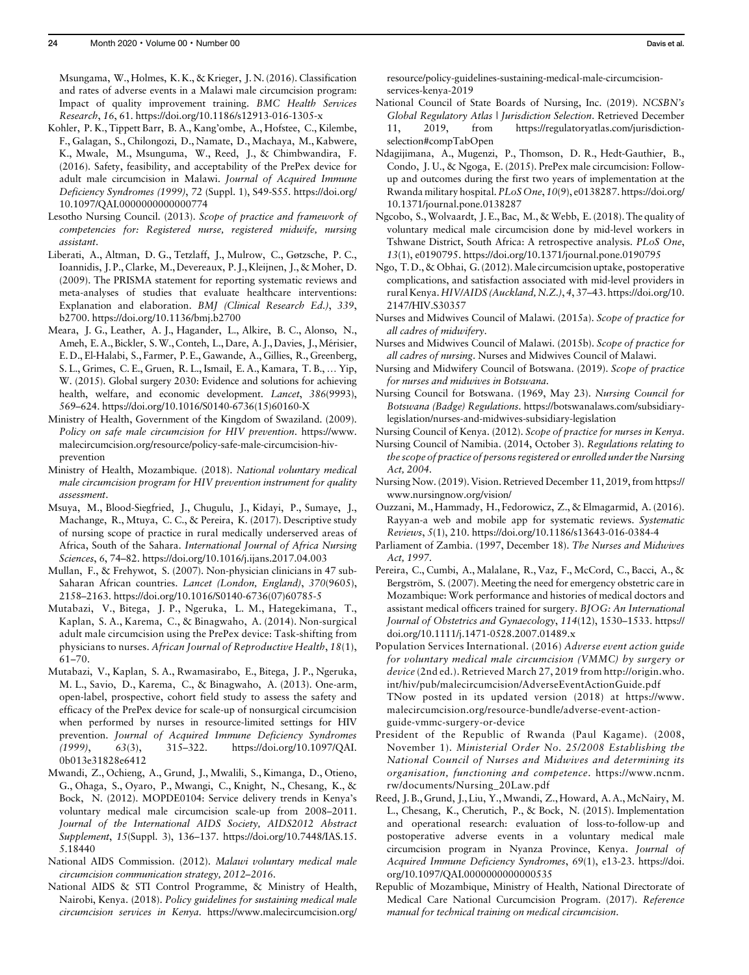Msungama, W., Holmes, K. K., & Krieger, J. N. (2016). Classification and rates of adverse events in a Malawi male circumcision program: Impact of quality improvement training. BMC Health Services Research, 16, 61.<https://doi.org/10.1186/s12913-016-1305-x>

- Kohler, P. K., Tippett Barr, B. A., Kang'ombe, A., Hofstee, C., Kilembe, F., Galagan, S., Chilongozi, D., Namate, D., Machaya, M., Kabwere, K., Mwale, M., Msunguma, W., Reed, J., & Chimbwandira, F. (2016). Safety, feasibility, and acceptability of the PrePex device for adult male circumcision in Malawi. Journal of Acquired Immune Deficiency Syndromes (1999), 72 (Suppl. 1), S49-S55. [https://doi.org/](https://doi.org/10.1097/QAI.0000000000000774) [10.1097/QAI.0000000000000774](https://doi.org/10.1097/QAI.0000000000000774)
- Lesotho Nursing Council. (2013). Scope of practice and framework of competencies for: Registered nurse, registered midwife, nursing assistant.
- Liberati, A., Altman, D. G., Tetzlaff, J., Mulrow, C., Gøtzsche, P. C., Ioannidis, J. P., Clarke, M., Devereaux, P. J., Kleijnen, J.,&Moher, D. (2009). The PRISMA statement for reporting systematic reviews and meta-analyses of studies that evaluate healthcare interventions: Explanation and elaboration. BMJ (Clinical Research Ed.), 339, b2700.<https://doi.org/10.1136/bmj.b2700>
- Meara, J. G., Leather, A. J., Hagander, L., Alkire, B. C., Alonso, N., Ameh, E. A., Bickler, S. W., Conteh, L., Dare, A. J., Davies, J., Mérisier, E. D., El-Halabi, S., Farmer, P. E., Gawande, A., Gillies, R., Greenberg, S. L., Grimes, C. E., Gruen, R. L., Ismail, E. A., Kamara, T. B., … Yip, W. (2015). Global surgery 2030: Evidence and solutions for achieving health, welfare, and economic development. Lancet, 386(9993), 569–624. [https://doi.org/10.1016/S0140-6736\(15\)60160-X](https://doi.org/10.1016/S0140-6736(15)60160-X)
- Ministry of Health, Government of the Kingdom of Swaziland. (2009). Policy on safe male circumcision for HIV prevention. [https://www.](https://www.malecircumcision.org/resource/policy-safe-male-circumcision-hiv-prevention) [malecircumcision.org/resource/policy-safe-male-circumcision-hiv](https://www.malecircumcision.org/resource/policy-safe-male-circumcision-hiv-prevention)[prevention](https://www.malecircumcision.org/resource/policy-safe-male-circumcision-hiv-prevention)
- Ministry of Health, Mozambique. (2018). National voluntary medical male circumcision program for HIV prevention instrument for quality assessment.
- Msuya, M., Blood-Siegfried, J., Chugulu, J., Kidayi, P., Sumaye, J., Machange, R., Mtuya, C. C., & Pereira, K. (2017). Descriptive study of nursing scope of practice in rural medically underserved areas of Africa, South of the Sahara. International Journal of Africa Nursing Sciences, 6, 74–82.<https://doi.org/10.1016/j.ijans.2017.04.003>
- Mullan, F., & Frehywot, S. (2007). Non-physician clinicians in 47 sub-Saharan African countries. Lancet (London, England), 370(9605), 2158–2163. [https://doi.org/10.1016/S0140-6736\(07\)60785-5](https://doi.org/10.1016/S0140-6736(07)60785-5)
- Mutabazi, V., Bitega, J. P., Ngeruka, L. M., Hategekimana, T., Kaplan, S. A., Karema, C., & Binagwaho, A. (2014). Non-surgical adult male circumcision using the PrePex device: Task-shifting from physicians to nurses. African Journal of Reproductive Health, 18(1), 61–70.
- Mutabazi, V., Kaplan, S. A., Rwamasirabo, E., Bitega, J. P., Ngeruka, M. L., Savio, D., Karema, C., & Binagwaho, A. (2013). One-arm, open-label, prospective, cohort field study to assess the safety and efficacy of the PrePex device for scale-up of nonsurgical circumcision when performed by nurses in resource-limited settings for HIV prevention. Journal of Acquired Immune Deficiency Syndromes (1999), 63(3), 315–322. [https://doi.org/10.1097/QAI.](https://doi.org/10.1097/QAI.0b013e31828e6412) [0b013e31828e6412](https://doi.org/10.1097/QAI.0b013e31828e6412)
- Mwandi, Z., Ochieng, A., Grund, J., Mwalili, S., Kimanga, D., Otieno, G., Ohaga, S., Oyaro, P., Mwangi, C., Knight, N., Chesang, K., & Bock, N. (2012). MOPDE0104: Service delivery trends in Kenya's voluntary medical male circumcision scale-up from 2008–2011. Journal of the International AIDS Society, AIDS2012 Abstract Supplement, 15(Suppl. 3), 136–137. [https://doi.org/10.7448/IAS.15.](https://doi.org/10.7448/IAS.15.5.18440) [5.18440](https://doi.org/10.7448/IAS.15.5.18440)
- National AIDS Commission. (2012). Malawi voluntary medical male circumcision communication strategy, 2012–2016.
- National AIDS & STI Control Programme, & Ministry of Health, Nairobi, Kenya. (2018). Policy guidelines for sustaining medical male circumcision services in Kenya. [https://www.malecircumcision.org/](https://www.malecircumcision.org/resource/policy-guidelines-sustaining-medical-male-circumcision-services-kenya-2019)

[resource/policy-guidelines-sustaining-medical-male-circumcision](https://www.malecircumcision.org/resource/policy-guidelines-sustaining-medical-male-circumcision-services-kenya-2019)[services-kenya-2019](https://www.malecircumcision.org/resource/policy-guidelines-sustaining-medical-male-circumcision-services-kenya-2019)

- National Council of State Boards of Nursing, Inc. (2019). NCSBN's Global Regulatory Atlas | Jurisdiction Selection. Retrieved December 11, 2019, from [https://regulatoryatlas.com/jurisdiction](https://regulatoryatlas.com/jurisdiction-selection#compTabOpen)[selection#compTabOpen](https://regulatoryatlas.com/jurisdiction-selection#compTabOpen)
- Ndagijimana, A., Mugenzi, P., Thomson, D. R., Hedt-Gauthier, B., Condo, J. U., & Ngoga, E. (2015). PrePex male circumcision: Followup and outcomes during the first two years of implementation at the Rwanda military hospital. PLoS One, 10(9), e0138287. [https://doi.org/](https://doi.org/10.1371/journal.pone.0138287) [10.1371/journal.pone.0138287](https://doi.org/10.1371/journal.pone.0138287)
- Ngcobo, S., Wolvaardt, J. E., Bac, M., & Webb, E. (2018). The quality of voluntary medical male circumcision done by mid-level workers in Tshwane District, South Africa: A retrospective analysis. PLoS One, 13(1), e0190795.<https://doi.org/10.1371/journal.pone.0190795>
- Ngo, T.D., & Obhai, G. (2012). Male circumcision uptake, postoperative complications, and satisfaction associated with mid-level providers in rural Kenya. HIV/AIDS (Auckland, N.Z.), 4, 37–43. [https://doi.org/10.](https://doi.org/10.2147/HIV.S30357) [2147/HIV.S30357](https://doi.org/10.2147/HIV.S30357)
- Nurses and Midwives Council of Malawi. (2015a). Scope of practice for all cadres of midwifery.
- Nurses and Midwives Council of Malawi. (2015b). Scope of practice for all cadres of nursing. Nurses and Midwives Council of Malawi.
- Nursing and Midwifery Council of Botswana. (2019). Scope of practice for nurses and midwives in Botswana.
- Nursing Council for Botswana. (1969, May 23). Nursing Council for Botswana (Badge) Regulations. [https://botswanalaws.com/subsidiary](https://botswanalaws.com/subsidiary-legislation/nurses-and-midwives-subsidiary-legislation)[legislation/nurses-and-midwives-subsidiary-legislation](https://botswanalaws.com/subsidiary-legislation/nurses-and-midwives-subsidiary-legislation)
- Nursing Council of Kenya. (2012). Scope of practice for nurses in Kenya.
- Nursing Council of Namibia. (2014, October 3). Regulations relating to the scope of practice of persons registered or enrolled under the Nursing Act, 2004.
- Nursing Now. (2019). Vision. Retrieved December 11, 2019, from [https://](https://www.nursingnow.org/vision/) [www.nursingnow.org/vision/](https://www.nursingnow.org/vision/)
- Ouzzani, M., Hammady, H., Fedorowicz, Z., & Elmagarmid, A. (2016). Rayyan-a web and mobile app for systematic reviews. Systematic Reviews, 5(1), 210.<https://doi.org/10.1186/s13643-016-0384-4>
- Parliament of Zambia. (1997, December 18). The Nurses and Midwives Act, 1997.
- Pereira, C., Cumbi, A., Malalane, R., Vaz, F., McCord, C., Bacci, A., & Bergström, S. (2007). Meeting the need for emergency obstetric care in Mozambique: Work performance and histories of medical doctors and assistant medical officers trained for surgery. BJOG: An International Journal of Obstetrics and Gynaecology, 114(12), 1530–1533. [https://](https://doi.org/10.1111/j.1471-0528.2007.01489.x) [doi.org/10.1111/j.1471-0528.2007.01489.x](https://doi.org/10.1111/j.1471-0528.2007.01489.x)
- Population Services International. (2016) Adverse event action guide for voluntary medical male circumcision (VMMC) by surgery or device (2nd ed.). Retrieved March 27, 2019 from [http://origin.who.](http://origin.who.int/hiv/pub/malecircumcision/AdverseEventActionGuide.pdf%20TNow%20posted%20in%20its%20updated%20version%20(2018)%20at%20https://www.malecircumcision.org/resource-bundle/adverse-event-action-guide-vmmc-surgery-or-device) [int/hiv/pub/malecircumcision/AdverseEventActionGuide.pdf](http://origin.who.int/hiv/pub/malecircumcision/AdverseEventActionGuide.pdf%20TNow%20posted%20in%20its%20updated%20version%20(2018)%20at%20https://www.malecircumcision.org/resource-bundle/adverse-event-action-guide-vmmc-surgery-or-device) [TNow posted in its updated version \(2018\) at https://www.](http://origin.who.int/hiv/pub/malecircumcision/AdverseEventActionGuide.pdf%20TNow%20posted%20in%20its%20updated%20version%20(2018)%20at%20https://www.malecircumcision.org/resource-bundle/adverse-event-action-guide-vmmc-surgery-or-device) [malecircumcision.org/resource-bundle/adverse-event-action](http://origin.who.int/hiv/pub/malecircumcision/AdverseEventActionGuide.pdf%20TNow%20posted%20in%20its%20updated%20version%20(2018)%20at%20https://www.malecircumcision.org/resource-bundle/adverse-event-action-guide-vmmc-surgery-or-device)[guide-vmmc-surgery-or-device](http://origin.who.int/hiv/pub/malecircumcision/AdverseEventActionGuide.pdf%20TNow%20posted%20in%20its%20updated%20version%20(2018)%20at%20https://www.malecircumcision.org/resource-bundle/adverse-event-action-guide-vmmc-surgery-or-device)
- President of the Republic of Rwanda (Paul Kagame). (2008, November 1). Ministerial Order No. 25/2008 Establishing the National Council of Nurses and Midwives and determining its organisation, functioning and competence. [https://www.ncnm.](https://www.ncnm.rw/documents/Nursing_20Law.pdf) [rw/documents/Nursing\\_20Law.pdf](https://www.ncnm.rw/documents/Nursing_20Law.pdf)
- Reed, J. B., Grund, J., Liu, Y.,Mwandi, Z., Howard, A. A.,McNairy, M. L., Chesang, K., Cherutich, P., & Bock, N. (2015). Implementation and operational research: evaluation of loss-to-follow-up and postoperative adverse events in a voluntary medical male circumcision program in Nyanza Province, Kenya. Journal of Acquired Immune Deficiency Syndromes, 69(1), e13-23. [https://doi.](https://doi.org/10.1097/QAI.0000000000000535) [org/10.1097/QAI.0000000000000535](https://doi.org/10.1097/QAI.0000000000000535)
- Republic of Mozambique, Ministry of Health, National Directorate of Medical Care National Curcumcision Program. (2017). Reference manual for technical training on medical circumcision.